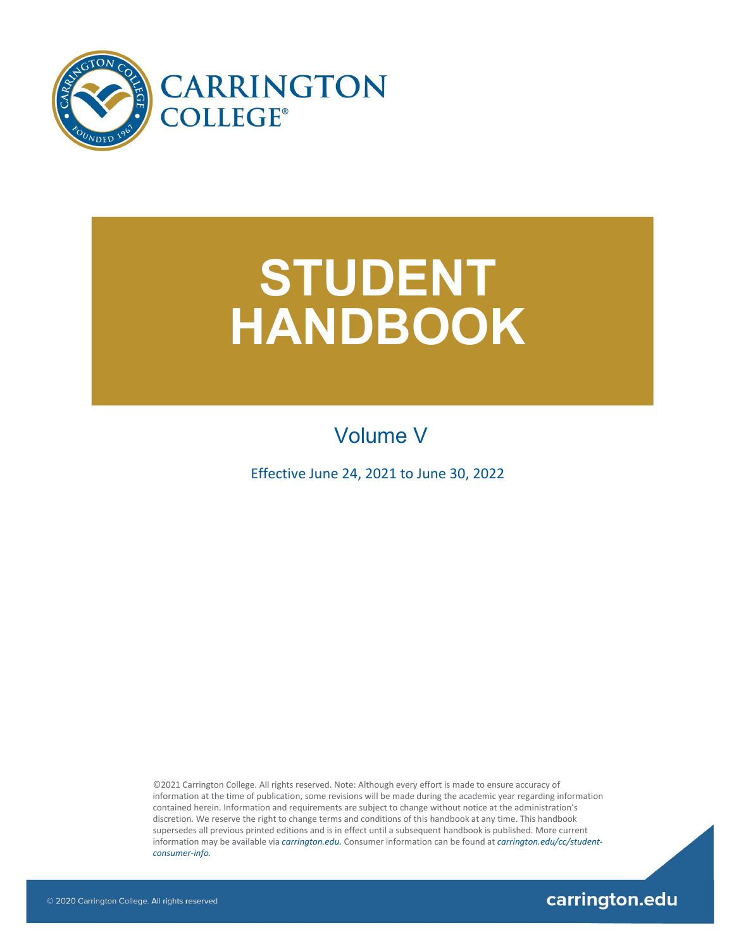

# **STUDENT HANDBOOK**

# Volume V

Effective June 24, 2021 to June 30, 2022

©2021 Carrington College. All rights reserved. Note: Although every effort is made to ensure accuracy of information at the time of publication, some revisions will be made during the academic year regarding information contained herein. Information and requirements are subject to change without notice at the administration's discretion. We reserve the right to change terms and conditions of this handbook at any time. This handbook supersedes all previous printed editions and is in effect until a subsequent handbook is published. More current information may be available via *[carrington.edu](http://www.carrington.edu/)*. Consumer information can be found at *[carrington.edu/cc/student](http://carrington.edu/carrington-college-california/student-consumer-info/)[consumer-info.](http://carrington.edu/carrington-college-california/student-consumer-info/)*

carrington.edu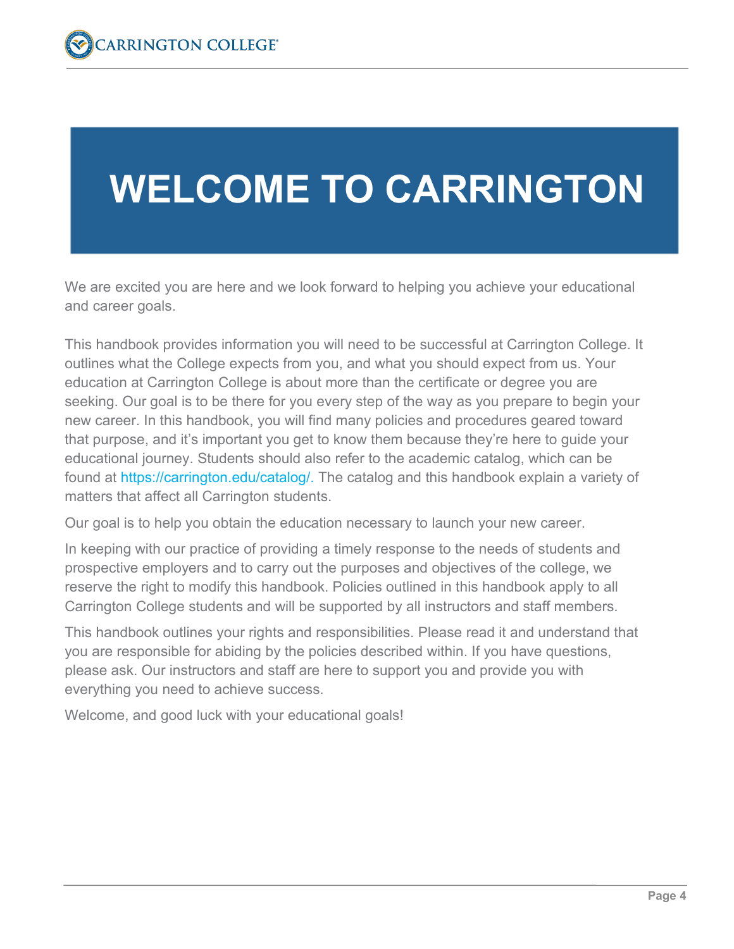# **WELCOME TO CARRINGTON**

We are excited you are here and we look forward to helping you achieve your educational and career goals.

This handbook provides information you will need to be successful at Carrington College. It outlines what the College expects from you, and what you should expect from us. Your education at Carrington College is about more than the certificate or degree you are seeking. Our goal is to be there for you every step of the way as you prepare to begin your new career. In this handbook, you will find many policies and procedures geared toward that purpose, and it's important you get to know them because they're here to guide your educational journey. Students should also refer to the academic catalog, which can be found at [https://carrington.edu/catalog/.](https://carrington.edu/catalog/) The catalog and this handbook explain a variety of matters that affect all Carrington students.

Our goal is to help you obtain the education necessary to launch your new career.

In keeping with our practice of providing a timely response to the needs of students and prospective employers and to carry out the purposes and objectives of the college, we reserve the right to modify this handbook. Policies outlined in this handbook apply to all Carrington College students and will be supported by all instructors and staff members.

This handbook outlines your rights and responsibilities. Please read it and understand that you are responsible for abiding by the policies described within. If you have questions, please ask. Our instructors and staff are here to support you and provide you with everything you need to achieve success.

Welcome, and good luck with your educational goals!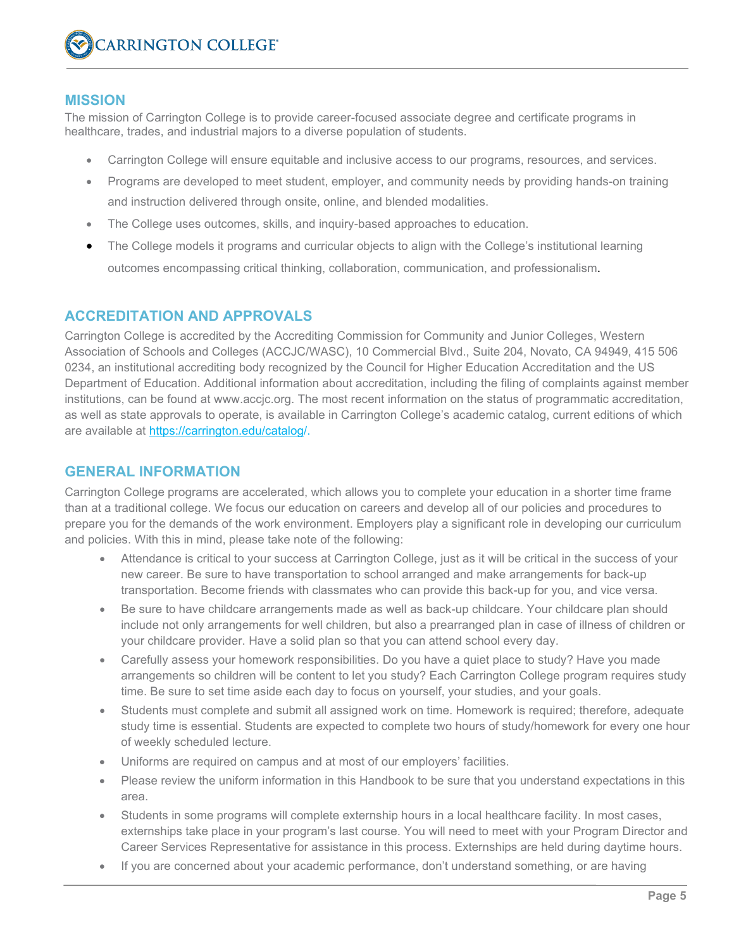#### **MISSION**

The mission of Carrington College is to provide career-focused associate degree and certificate programs in healthcare, trades, and industrial majors to a diverse population of students.

- Carrington College will ensure equitable and inclusive access to our programs, resources, and services.
- Programs are developed to meet student, employer, and community needs by providing hands-on training and instruction delivered through onsite, online, and blended modalities.
- The College uses outcomes, skills, and inquiry-based approaches to education.
- The College models it programs and curricular objects to align with the College's institutional learning outcomes encompassing critical thinking, collaboration, communication, and professionalism.

#### **ACCREDITATION AND APPROVALS**

Carrington College is accredited by the Accrediting Commission for Community and Junior Colleges, Western Association of Schools and Colleges (ACCJC/WASC), 10 Commercial Blvd., Suite 204, Novato, CA 94949, 415 506 0234, an institutional accrediting body recognized by the Council for Higher Education Accreditation and the US Department of Education. Additional information about accreditation, including the filing of complaints against member institutions, can be found at www.accjc.org. The most recent information on the status of programmatic accreditation, as well as state approvals to operate, is available in Carrington College's academic catalog, current editions of which are available at<https://carrington.edu/catalog/>.

#### **GENERAL INFORMATION**

Carrington College programs are accelerated, which allows you to complete your education in a shorter time frame than at a traditional college. We focus our education on careers and develop all of our policies and procedures to prepare you for the demands of the work environment. Employers play a significant role in developing our curriculum and policies. With this in mind, please take note of the following:

- Attendance is critical to your success at Carrington College, just as it will be critical in the success of your new career. Be sure to have transportation to school arranged and make arrangements for back-up transportation. Become friends with classmates who can provide this back-up for you, and vice versa.
- Be sure to have childcare arrangements made as well as back-up childcare. Your childcare plan should include not only arrangements for well children, but also a prearranged plan in case of illness of children or your childcare provider. Have a solid plan so that you can attend school every day.
- Carefully assess your homework responsibilities. Do you have a quiet place to study? Have you made arrangements so children will be content to let you study? Each Carrington College program requires study time. Be sure to set time aside each day to focus on yourself, your studies, and your goals.
- Students must complete and submit all assigned work on time. Homework is required; therefore, adequate study time is essential. Students are expected to complete two hours of study/homework for every one hour of weekly scheduled lecture.
- Uniforms are required on campus and at most of our employers' facilities.
- Please review the uniform information in this Handbook to be sure that you understand expectations in this area.
- Students in some programs will complete externship hours in a local healthcare facility. In most cases, externships take place in your program's last course. You will need to meet with your Program Director and Career Services Representative for assistance in this process. Externships are held during daytime hours.
- If you are concerned about your academic performance, don't understand something, or are having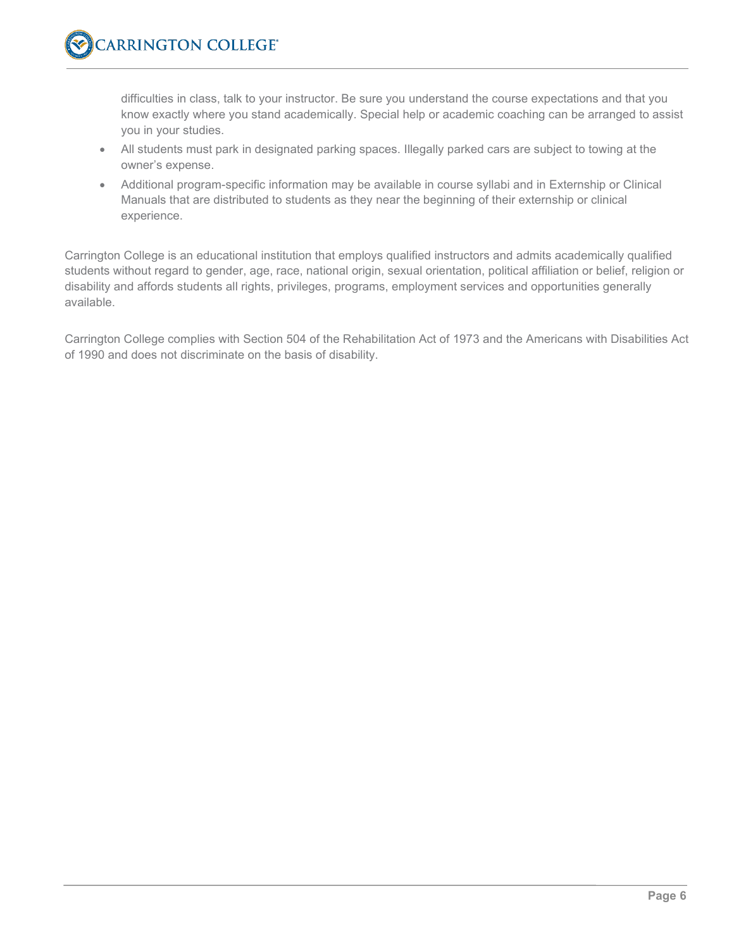difficulties in class, talk to your instructor. Be sure you understand the course expectations and that you know exactly where you stand academically. Special help or academic coaching can be arranged to assist you in your studies.

- All students must park in designated parking spaces. Illegally parked cars are subject to towing at the owner's expense.
- Additional program-specific information may be available in course syllabi and in Externship or Clinical Manuals that are distributed to students as they near the beginning of their externship or clinical experience.

Carrington College is an educational institution that employs qualified instructors and admits academically qualified students without regard to gender, age, race, national origin, sexual orientation, political affiliation or belief, religion or disability and affords students all rights, privileges, programs, employment services and opportunities generally available.

Carrington College complies with Section 504 of the Rehabilitation Act of 1973 and the Americans with Disabilities Act of 1990 and does not discriminate on the basis of disability.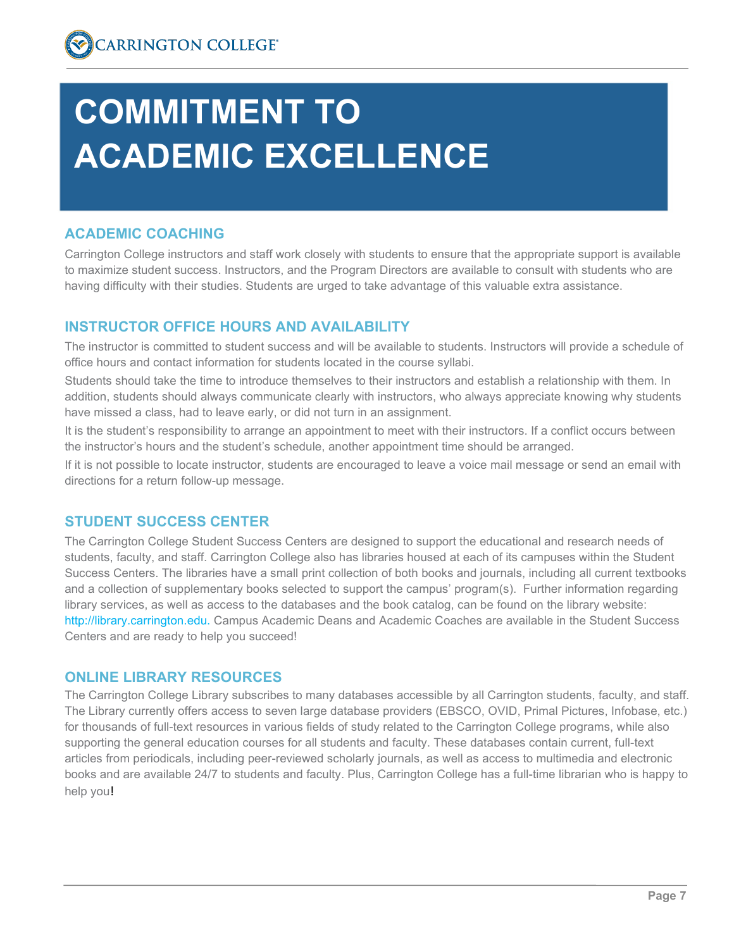# **COMMITMENT TO ACADEMIC EXCELLENCE**

# **ACADEMIC COACHING**

Carrington College instructors and staff work closely with students to ensure that the appropriate support is available to maximize student success. Instructors, and the Program Directors are available to consult with students who are having difficulty with their studies. Students are urged to take advantage of this valuable extra assistance.

# **INSTRUCTOR OFFICE HOURS AND AVAILABILITY**

The instructor is committed to student success and will be available to students. Instructors will provide a schedule of office hours and contact information for students located in the course syllabi.

Students should take the time to introduce themselves to their instructors and establish a relationship with them. In addition, students should always communicate clearly with instructors, who always appreciate knowing why students have missed a class, had to leave early, or did not turn in an assignment.

It is the student's responsibility to arrange an appointment to meet with their instructors. If a conflict occurs between the instructor's hours and the student's schedule, another appointment time should be arranged.

If it is not possible to locate instructor, students are encouraged to leave a voice mail message or send an email with directions for a return follow-up message.

# **STUDENT SUCCESS CENTER**

The Carrington College Student Success Centers are designed to support the educational and research needs of students, faculty, and staff. Carrington College also has libraries housed at each of its campuses within the Student Success Centers. The libraries have a small print collection of both books and journals, including all current textbooks and a collection of supplementary books selected to support the campus' program(s). Further information regarding library services, as well as access to the databases and the book catalog, can be found on the library website: [http://library.carrington.edu.](http://library.carrington.edu/) Campus Academic Deans and Academic Coaches are available in the Student Success Centers and are ready to help you succeed!

# **ONLINE LIBRARY RESOURCES**

The Carrington College Library subscribes to many databases accessible by all Carrington students, faculty, and staff. The Library currently offers access to seven large database providers (EBSCO, OVID, Primal Pictures, Infobase, etc.) for thousands of full-text resources in various fields of study related to the Carrington College programs, while also supporting the general education courses for all students and faculty. These databases contain current, full-text articles from periodicals, including peer-reviewed scholarly journals, as well as access to multimedia and electronic books and are available 24/7 to students and faculty. Plus, Carrington College has a full-time librarian who is happy to help you!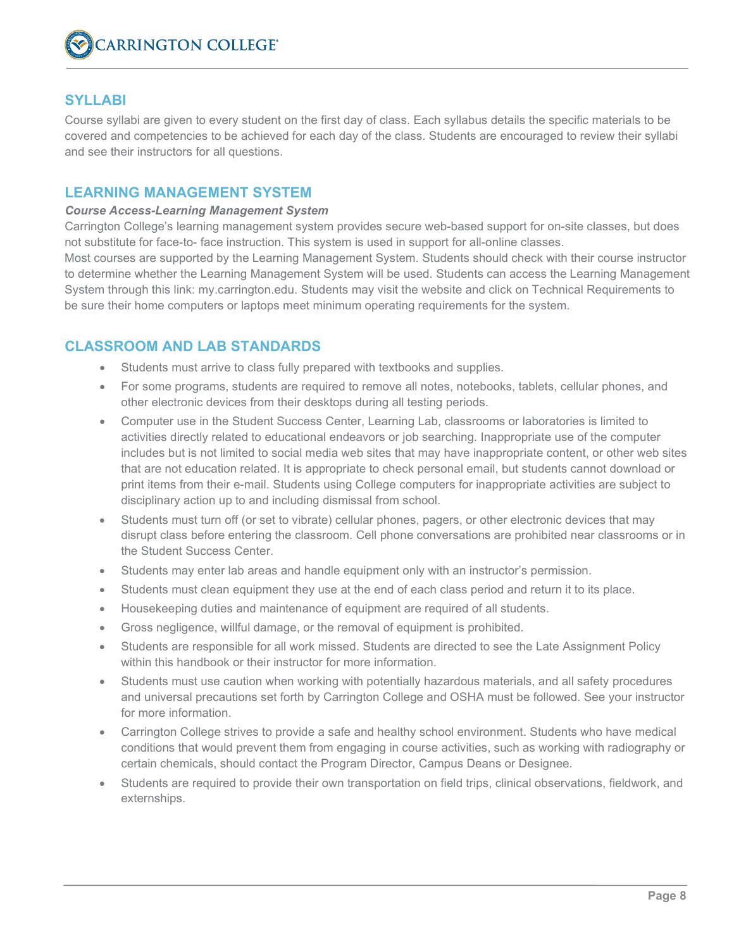

# **SYLLABI**

Course syllabi are given to every student on the first day of class. Each syllabus details the specific materials to be covered and competencies to be achieved for each day of the class. Students are encouraged to review their syllabi and see their instructors for all questions.

#### **LEARNING MANAGEMENT SYSTEM**

#### *Course Access-Learning Management System*

Carrington College's learning management system provides secure web-based support for on-site classes, but does not substitute for face-to- face instruction. This system is used in support for all-online classes.

Most courses are supported by the Learning Management System. Students should check with their course instructor to determine whether the Learning Management System will be used. Students can access the Learning Management System through this link: my.carrington.edu. Students may visit the website and click on Technical Requirements to be sure their home computers or laptops meet minimum operating requirements for the system.

#### **CLASSROOM AND LAB STANDARDS**

- Students must arrive to class fully prepared with textbooks and supplies.
- For some programs, students are required to remove all notes, notebooks, tablets, cellular phones, and other electronic devices from their desktops during all testing periods.
- Computer use in the Student Success Center, Learning Lab, classrooms or laboratories is limited to activities directly related to educational endeavors or job searching. Inappropriate use of the computer includes but is not limited to social media web sites that may have inappropriate content, or other web sites that are not education related. It is appropriate to check personal email, but students cannot download or print items from their e-mail. Students using College computers for inappropriate activities are subject to disciplinary action up to and including dismissal from school.
- Students must turn off (or set to vibrate) cellular phones, pagers, or other electronic devices that may disrupt class before entering the classroom. Cell phone conversations are prohibited near classrooms or in the Student Success Center.
- Students may enter lab areas and handle equipment only with an instructor's permission.
- Students must clean equipment they use at the end of each class period and return it to its place.
- Housekeeping duties and maintenance of equipment are required of all students.
- Gross negligence, willful damage, or the removal of equipment is prohibited.
- Students are responsible for all work missed. Students are directed to see the Late Assignment Policy within this handbook or their instructor for more information.
- Students must use caution when working with potentially hazardous materials, and all safety procedures and universal precautions set forth by Carrington College and OSHA must be followed. See your instructor for more information.
- Carrington College strives to provide a safe and healthy school environment. Students who have medical conditions that would prevent them from engaging in course activities, such as working with radiography or certain chemicals, should contact the Program Director, Campus Deans or Designee.
- Students are required to provide their own transportation on field trips, clinical observations, fieldwork, and externships.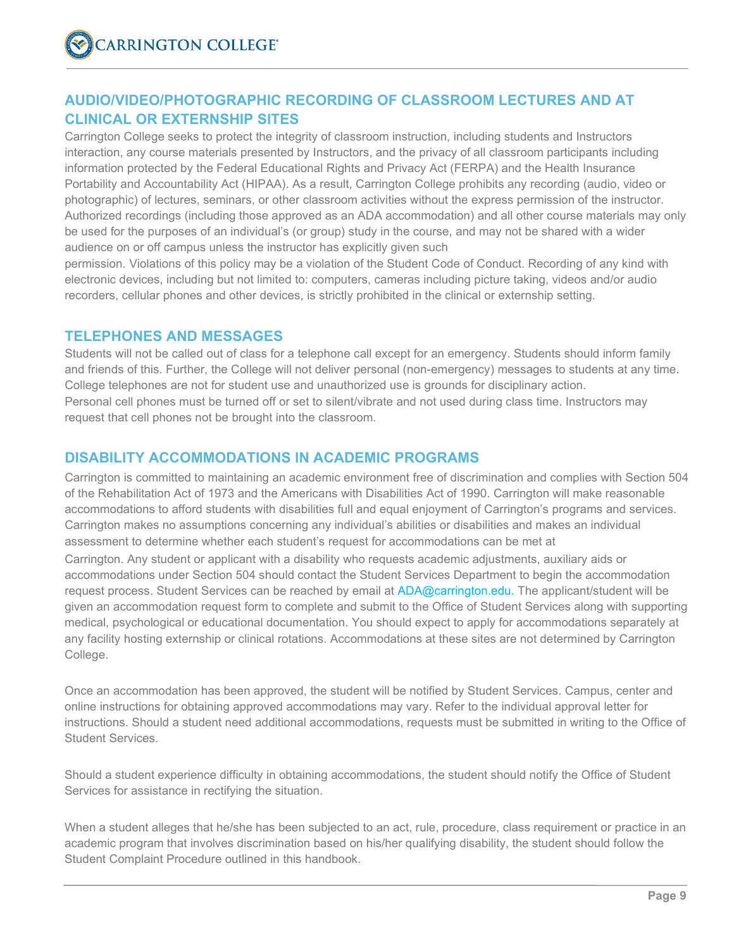# **AUDIO/VIDEO/PHOTOGRAPHIC RECORDING OF CLASSROOM LECTURES AND AT CLINICAL OR EXTERNSHIP SITES**

Carrington College seeks to protect the integrity of classroom instruction, including students and Instructors interaction, any course materials presented by Instructors, and the privacy of all classroom participants including information protected by the Federal Educational Rights and Privacy Act (FERPA) and the Health Insurance Portability and Accountability Act (HIPAA). As a result, Carrington College prohibits any recording (audio, video or photographic) of lectures, seminars, or other classroom activities without the express permission of the instructor. Authorized recordings (including those approved as an ADA accommodation) and all other course materials may only be used for the purposes of an individual's (or group) study in the course, and may not be shared with a wider audience on or off campus unless the instructor has explicitly given such

permission. Violations of this policy may be a violation of the Student Code of Conduct. Recording of any kind with electronic devices, including but not limited to: computers, cameras including picture taking, videos and/or audio recorders, cellular phones and other devices, is strictly prohibited in the clinical or externship setting.

# **TELEPHONES AND MESSAGES**

Students will not be called out of class for a telephone call except for an emergency. Students should inform family and friends of this. Further, the College will not deliver personal (non-emergency) messages to students at any time. College telephones are not for student use and unauthorized use is grounds for disciplinary action. Personal cell phones must be turned off or set to silent/vibrate and not used during class time. Instructors may request that cell phones not be brought into the classroom.

# **DISABILITY ACCOMMODATIONS IN ACADEMIC PROGRAMS**

Carrington is committed to maintaining an academic environment free of discrimination and complies with Section 504 of the Rehabilitation Act of 1973 and the Americans with Disabilities Act of 1990. Carrington will make reasonable accommodations to afford students with disabilities full and equal enjoyment of Carrington's programs and services. Carrington makes no assumptions concerning any individual's abilities or disabilities and makes an individual assessment to determine whether each student's request for accommodations can be met at

Carrington. Any student or applicant with a disability who requests academic adjustments, auxiliary aids or accommodations under Section 504 should contact the Student Services Department to begin the accommodation request process. Student Services can be reached by email at ADA@carrington.edu. The applicant/student will be given an accommodation request form to complete and submit to the Office of Student Services along with supporting medical, psychological or educational documentation. You should expect to apply for accommodations separately at any facility hosting externship or clinical rotations. Accommodations at these sites are not determined by Carrington College.

Once an accommodation has been approved, the student will be notified by Student Services. Campus, center and online instructions for obtaining approved accommodations may vary. Refer to the individual approval letter for instructions. Should a student need additional accommodations, requests must be submitted in writing to the Office of Student Services.

Should a student experience difficulty in obtaining accommodations, the student should notify the Office of Student Services for assistance in rectifying the situation.

When a student alleges that he/she has been subjected to an act, rule, procedure, class requirement or practice in an academic program that involves discrimination based on his/her qualifying disability, the student should follow the Student Complaint Procedure outlined in this handbook.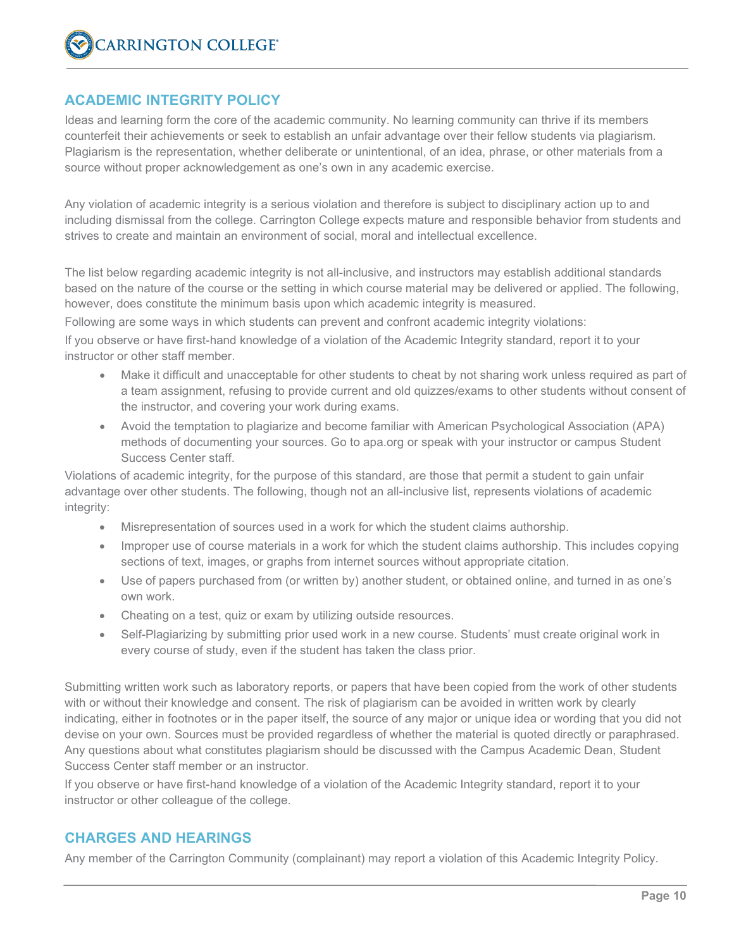#### **ACADEMIC INTEGRITY POLICY**

Ideas and learning form the core of the academic community. No learning community can thrive if its members counterfeit their achievements or seek to establish an unfair advantage over their fellow students via plagiarism. Plagiarism is the representation, whether deliberate or unintentional, of an idea, phrase, or other materials from a source without proper acknowledgement as one's own in any academic exercise.

Any violation of academic integrity is a serious violation and therefore is subject to disciplinary action up to and including dismissal from the college. Carrington College expects mature and responsible behavior from students and strives to create and maintain an environment of social, moral and intellectual excellence.

The list below regarding academic integrity is not all-inclusive, and instructors may establish additional standards based on the nature of the course or the setting in which course material may be delivered or applied. The following, however, does constitute the minimum basis upon which academic integrity is measured.

Following are some ways in which students can prevent and confront academic integrity violations:

If you observe or have first-hand knowledge of a violation of the Academic Integrity standard, report it to your instructor or other staff member.

- Make it difficult and unacceptable for other students to cheat by not sharing work unless required as part of a team assignment, refusing to provide current and old quizzes/exams to other students without consent of the instructor, and covering your work during exams.
- Avoid the temptation to plagiarize and become familiar with American Psychological Association (APA) methods of documenting your sources. Go to apa.org or speak with your instructor or campus Student Success Center staff.

Violations of academic integrity, for the purpose of this standard, are those that permit a student to gain unfair advantage over other students. The following, though not an all-inclusive list, represents violations of academic integrity:

- Misrepresentation of sources used in a work for which the student claims authorship.
- Improper use of course materials in a work for which the student claims authorship. This includes copying sections of text, images, or graphs from internet sources without appropriate citation.
- Use of papers purchased from (or written by) another student, or obtained online, and turned in as one's own work.
- Cheating on a test, quiz or exam by utilizing outside resources.
- Self-Plagiarizing by submitting prior used work in a new course. Students' must create original work in every course of study, even if the student has taken the class prior.

Submitting written work such as laboratory reports, or papers that have been copied from the work of other students with or without their knowledge and consent. The risk of plagiarism can be avoided in written work by clearly indicating, either in footnotes or in the paper itself, the source of any major or unique idea or wording that you did not devise on your own. Sources must be provided regardless of whether the material is quoted directly or paraphrased. Any questions about what constitutes plagiarism should be discussed with the Campus Academic Dean, Student Success Center staff member or an instructor.

If you observe or have first-hand knowledge of a violation of the Academic Integrity standard, report it to your instructor or other colleague of the college.

# **CHARGES AND HEARINGS**

Any member of the Carrington Community (complainant) may report a violation of this Academic Integrity Policy.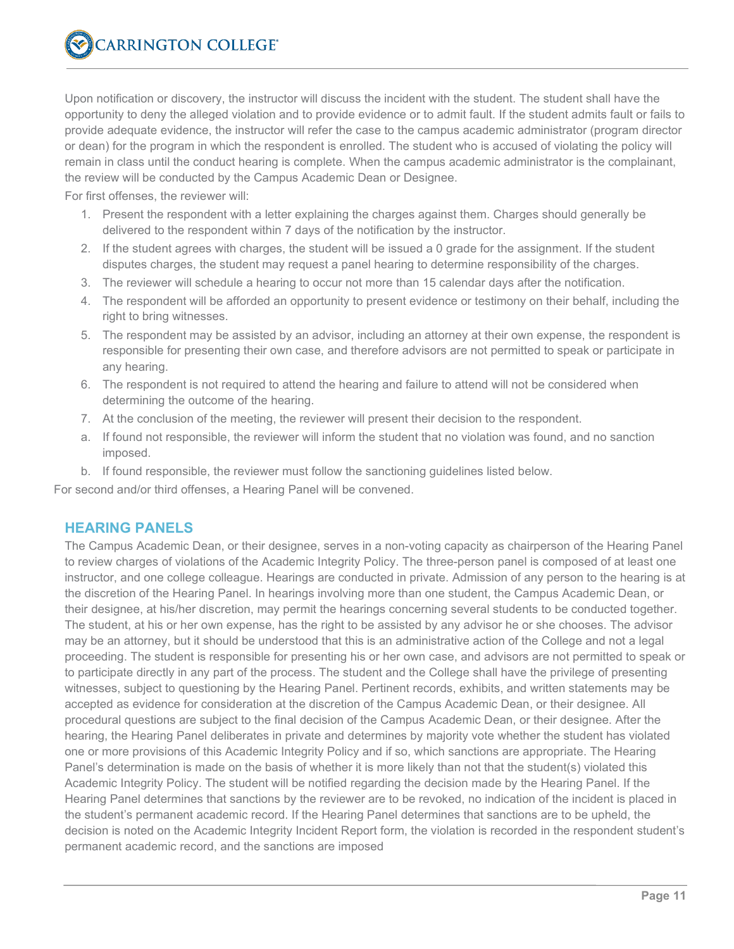Upon notification or discovery, the instructor will discuss the incident with the student. The student shall have the opportunity to deny the alleged violation and to provide evidence or to admit fault. If the student admits fault or fails to provide adequate evidence, the instructor will refer the case to the campus academic administrator (program director or dean) for the program in which the respondent is enrolled. The student who is accused of violating the policy will remain in class until the conduct hearing is complete. When the campus academic administrator is the complainant, the review will be conducted by the Campus Academic Dean or Designee.

For first offenses, the reviewer will:

- 1. Present the respondent with a letter explaining the charges against them. Charges should generally be delivered to the respondent within 7 days of the notification by the instructor.
- 2. If the student agrees with charges, the student will be issued a 0 grade for the assignment. If the student disputes charges, the student may request a panel hearing to determine responsibility of the charges.
- 3. The reviewer will schedule a hearing to occur not more than 15 calendar days after the notification.
- 4. The respondent will be afforded an opportunity to present evidence or testimony on their behalf, including the right to bring witnesses.
- 5. The respondent may be assisted by an advisor, including an attorney at their own expense, the respondent is responsible for presenting their own case, and therefore advisors are not permitted to speak or participate in any hearing.
- 6. The respondent is not required to attend the hearing and failure to attend will not be considered when determining the outcome of the hearing.
- 7. At the conclusion of the meeting, the reviewer will present their decision to the respondent.
- a. If found not responsible, the reviewer will inform the student that no violation was found, and no sanction imposed.
- b. If found responsible, the reviewer must follow the sanctioning guidelines listed below.

For second and/or third offenses, a Hearing Panel will be convened.

#### **HEARING PANELS**

The Campus Academic Dean, or their designee, serves in a non-voting capacity as chairperson of the Hearing Panel to review charges of violations of the Academic Integrity Policy. The three-person panel is composed of at least one instructor, and one college colleague. Hearings are conducted in private. Admission of any person to the hearing is at the discretion of the Hearing Panel. In hearings involving more than one student, the Campus Academic Dean, or their designee, at his/her discretion, may permit the hearings concerning several students to be conducted together. The student, at his or her own expense, has the right to be assisted by any advisor he or she chooses. The advisor may be an attorney, but it should be understood that this is an administrative action of the College and not a legal proceeding. The student is responsible for presenting his or her own case, and advisors are not permitted to speak or to participate directly in any part of the process. The student and the College shall have the privilege of presenting witnesses, subject to questioning by the Hearing Panel. Pertinent records, exhibits, and written statements may be accepted as evidence for consideration at the discretion of the Campus Academic Dean, or their designee. All procedural questions are subject to the final decision of the Campus Academic Dean, or their designee. After the hearing, the Hearing Panel deliberates in private and determines by majority vote whether the student has violated one or more provisions of this Academic Integrity Policy and if so, which sanctions are appropriate. The Hearing Panel's determination is made on the basis of whether it is more likely than not that the student(s) violated this Academic Integrity Policy. The student will be notified regarding the decision made by the Hearing Panel. If the Hearing Panel determines that sanctions by the reviewer are to be revoked, no indication of the incident is placed in the student's permanent academic record. If the Hearing Panel determines that sanctions are to be upheld, the decision is noted on the Academic Integrity Incident Report form, the violation is recorded in the respondent student's permanent academic record, and the sanctions are imposed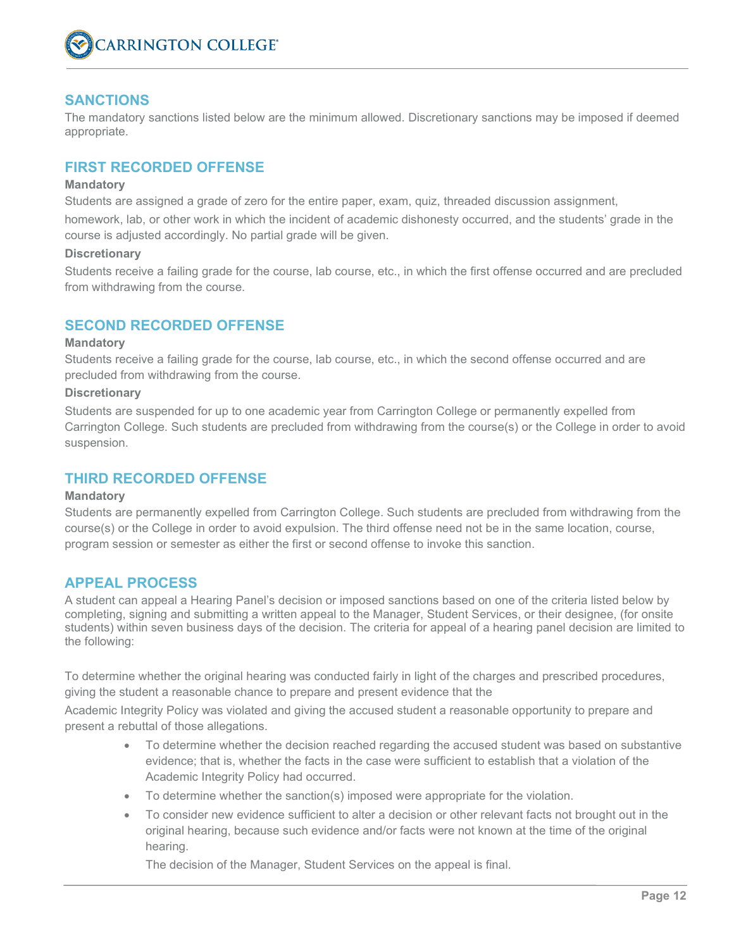

#### **SANCTIONS**

The mandatory sanctions listed below are the minimum allowed. Discretionary sanctions may be imposed if deemed appropriate.

#### **FIRST RECORDED OFFENSE**

#### **Mandatory**

Students are assigned a grade of zero for the entire paper, exam, quiz, threaded discussion assignment,

homework, lab, or other work in which the incident of academic dishonesty occurred, and the students' grade in the course is adjusted accordingly. No partial grade will be given.

#### **Discretionary**

Students receive a failing grade for the course, lab course, etc., in which the first offense occurred and are precluded from withdrawing from the course.

#### **SECOND RECORDED OFFENSE**

#### **Mandatory**

Students receive a failing grade for the course, lab course, etc., in which the second offense occurred and are precluded from withdrawing from the course.

#### **Discretionary**

Students are suspended for up to one academic year from Carrington College or permanently expelled from Carrington College. Such students are precluded from withdrawing from the course(s) or the College in order to avoid suspension.

#### **THIRD RECORDED OFFENSE**

#### **Mandatory**

Students are permanently expelled from Carrington College. Such students are precluded from withdrawing from the course(s) or the College in order to avoid expulsion. The third offense need not be in the same location, course, program session or semester as either the first or second offense to invoke this sanction.

#### **APPEAL PROCESS**

A student can appeal a Hearing Panel's decision or imposed sanctions based on one of the criteria listed below by completing, signing and submitting a written appeal to the Manager, Student Services, or their designee, (for onsite students) within seven business days of the decision. The criteria for appeal of a hearing panel decision are limited to the following:

To determine whether the original hearing was conducted fairly in light of the charges and prescribed procedures, giving the student a reasonable chance to prepare and present evidence that the

Academic Integrity Policy was violated and giving the accused student a reasonable opportunity to prepare and present a rebuttal of those allegations.

- To determine whether the decision reached regarding the accused student was based on substantive evidence; that is, whether the facts in the case were sufficient to establish that a violation of the Academic Integrity Policy had occurred.
- To determine whether the sanction(s) imposed were appropriate for the violation.
- To consider new evidence sufficient to alter a decision or other relevant facts not brought out in the original hearing, because such evidence and/or facts were not known at the time of the original hearing.

The decision of the Manager, Student Services on the appeal is final.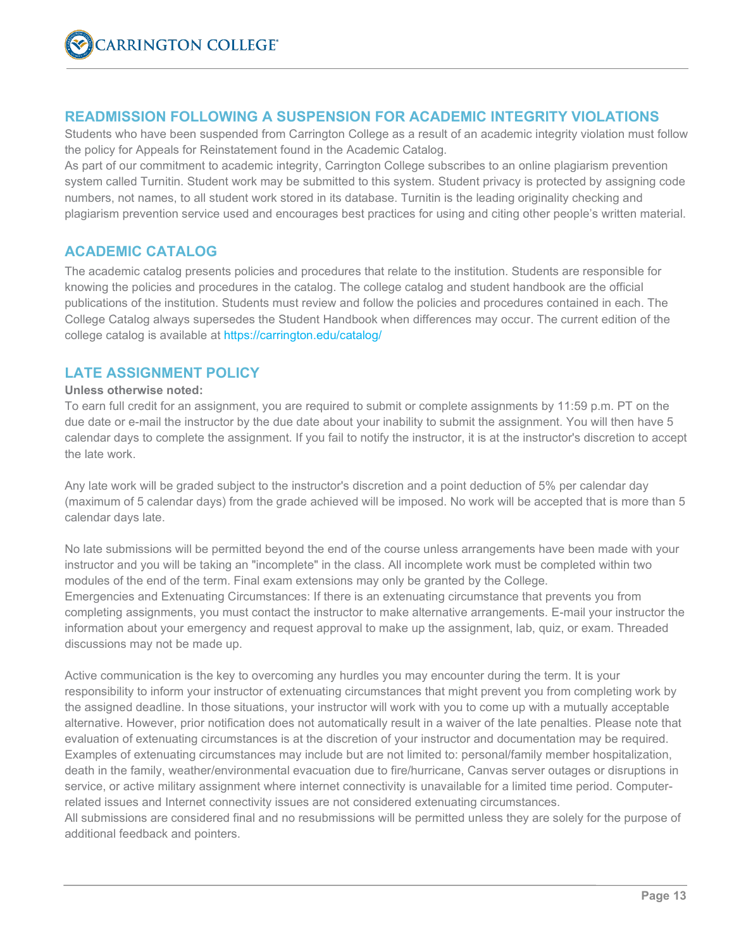# **READMISSION FOLLOWING A SUSPENSION FOR ACADEMIC INTEGRITY VIOLATIONS**

Students who have been suspended from Carrington College as a result of an academic integrity violation must follow the policy for Appeals for Reinstatement found in the Academic Catalog.

As part of our commitment to academic integrity, Carrington College subscribes to an online plagiarism prevention system called Turnitin. Student work may be submitted to this system. Student privacy is protected by assigning code numbers, not names, to all student work stored in its database. Turnitin is the leading originality checking and plagiarism prevention service used and encourages best practices for using and citing other people's written material.

# **ACADEMIC CATALOG**

The academic catalog presents policies and procedures that relate to the institution. Students are responsible for knowing the policies and procedures in the catalog. The college catalog and student handbook are the official publications of the institution. Students must review and follow the policies and procedures contained in each. The College Catalog always supersedes the Student Handbook when differences may occur. The current edition of the college catalog is available at https://carrington.edu/catalog/

#### **LATE ASSIGNMENT POLICY**

#### **Unless otherwise noted:**

To earn full credit for an assignment, you are required to submit or complete assignments by 11:59 p.m. PT on the due date or e-mail the instructor by the due date about your inability to submit the assignment. You will then have 5 calendar days to complete the assignment. If you fail to notify the instructor, it is at the instructor's discretion to accept the late work.

Any late work will be graded subject to the instructor's discretion and a point deduction of 5% per calendar day (maximum of 5 calendar days) from the grade achieved will be imposed. No work will be accepted that is more than 5 calendar days late.

No late submissions will be permitted beyond the end of the course unless arrangements have been made with your instructor and you will be taking an "incomplete" in the class. All incomplete work must be completed within two modules of the end of the term. Final exam extensions may only be granted by the College. Emergencies and Extenuating Circumstances: If there is an extenuating circumstance that prevents you from completing assignments, you must contact the instructor to make alternative arrangements. E-mail your instructor the information about your emergency and request approval to make up the assignment, lab, quiz, or exam. Threaded discussions may not be made up.

Active communication is the key to overcoming any hurdles you may encounter during the term. It is your responsibility to inform your instructor of extenuating circumstances that might prevent you from completing work by the assigned deadline. In those situations, your instructor will work with you to come up with a mutually acceptable alternative. However, prior notification does not automatically result in a waiver of the late penalties. Please note that evaluation of extenuating circumstances is at the discretion of your instructor and documentation may be required. Examples of extenuating circumstances may include but are not limited to: personal/family member hospitalization, death in the family, weather/environmental evacuation due to fire/hurricane, Canvas server outages or disruptions in service, or active military assignment where internet connectivity is unavailable for a limited time period. Computerrelated issues and Internet connectivity issues are not considered extenuating circumstances.

All submissions are considered final and no resubmissions will be permitted unless they are solely for the purpose of additional feedback and pointers.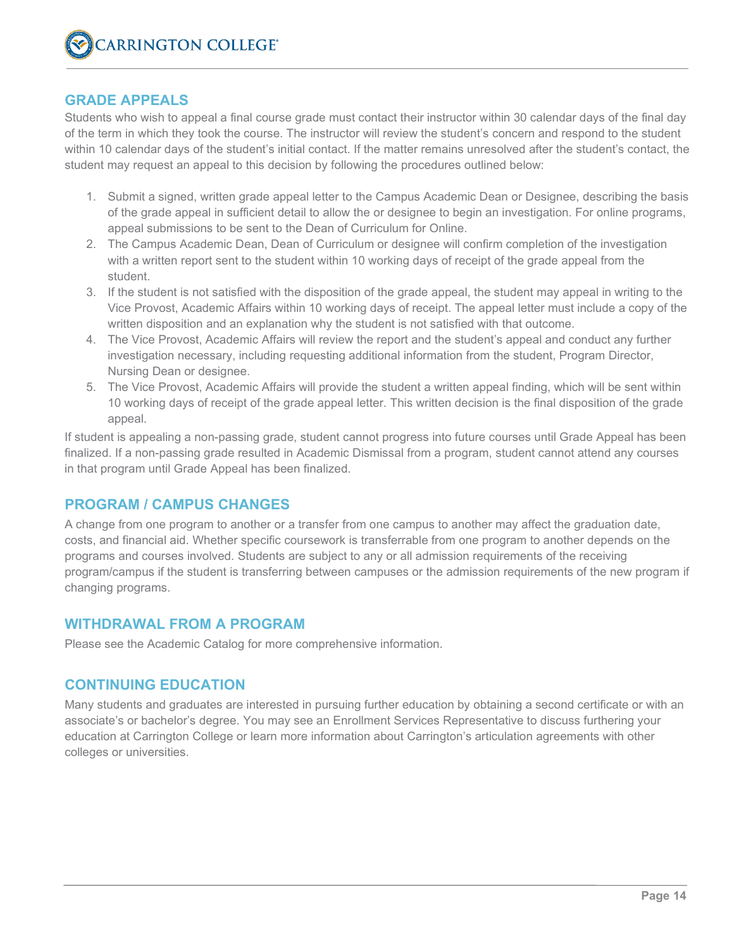#### **GRADE APPEALS**

Students who wish to appeal a final course grade must contact their instructor within 30 calendar days of the final day of the term in which they took the course. The instructor will review the student's concern and respond to the student within 10 calendar days of the student's initial contact. If the matter remains unresolved after the student's contact, the student may request an appeal to this decision by following the procedures outlined below:

- 1. Submit a signed, written grade appeal letter to the Campus Academic Dean or Designee, describing the basis of the grade appeal in sufficient detail to allow the or designee to begin an investigation. For online programs, appeal submissions to be sent to the Dean of Curriculum for Online.
- 2. The Campus Academic Dean, Dean of Curriculum or designee will confirm completion of the investigation with a written report sent to the student within 10 working days of receipt of the grade appeal from the student.
- 3. If the student is not satisfied with the disposition of the grade appeal, the student may appeal in writing to the Vice Provost, Academic Affairs within 10 working days of receipt. The appeal letter must include a copy of the written disposition and an explanation why the student is not satisfied with that outcome.
- 4. The Vice Provost, Academic Affairs will review the report and the student's appeal and conduct any further investigation necessary, including requesting additional information from the student, Program Director, Nursing Dean or designee.
- 5. The Vice Provost, Academic Affairs will provide the student a written appeal finding, which will be sent within 10 working days of receipt of the grade appeal letter. This written decision is the final disposition of the grade appeal.

If student is appealing a non-passing grade, student cannot progress into future courses until Grade Appeal has been finalized. If a non-passing grade resulted in Academic Dismissal from a program, student cannot attend any courses in that program until Grade Appeal has been finalized.

#### **PROGRAM / CAMPUS CHANGES**

A change from one program to another or a transfer from one campus to another may affect the graduation date, costs, and financial aid. Whether specific coursework is transferrable from one program to another depends on the programs and courses involved. Students are subject to any or all admission requirements of the receiving program/campus if the student is transferring between campuses or the admission requirements of the new program if changing programs.

#### **WITHDRAWAL FROM A PROGRAM**

Please see the Academic Catalog for more comprehensive information.

#### **CONTINUING EDUCATION**

Many students and graduates are interested in pursuing further education by obtaining a second certificate or with an associate's or bachelor's degree. You may see an Enrollment Services Representative to discuss furthering your education at Carrington College or learn more information about Carrington's articulation agreements with other colleges or universities.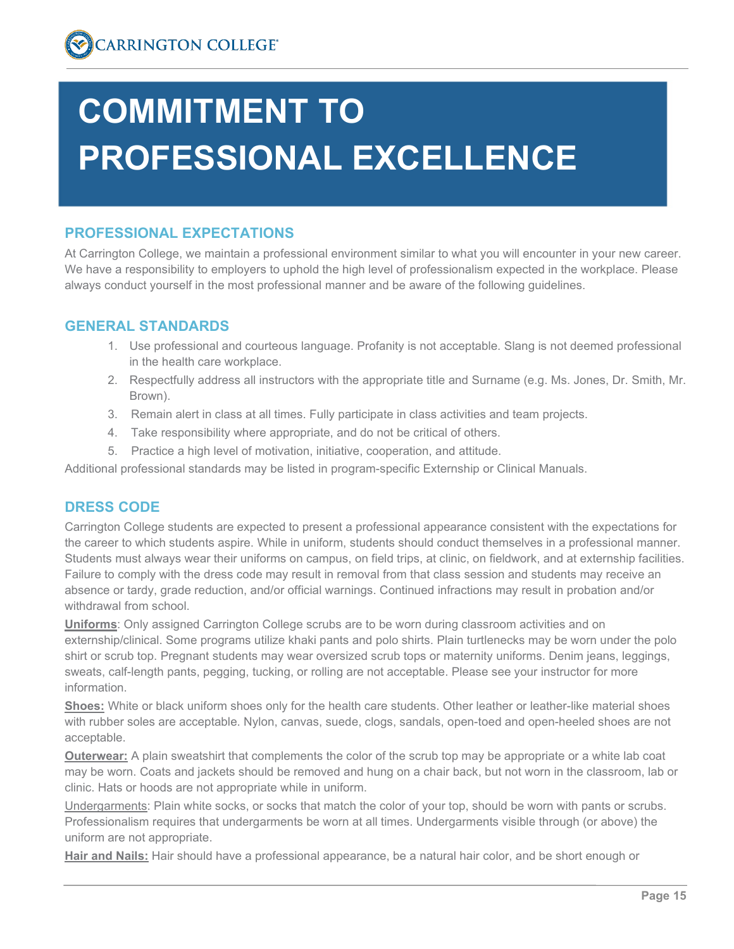# **COMMITMENT TO PROFESSIONAL EXCELLENCE**

# **PROFESSIONAL EXPECTATIONS**

At Carrington College, we maintain a professional environment similar to what you will encounter in your new career. We have a responsibility to employers to uphold the high level of professionalism expected in the workplace. Please always conduct yourself in the most professional manner and be aware of the following guidelines.

# **GENERAL STANDARDS**

- 1. Use professional and courteous language. Profanity is not acceptable. Slang is not deemed professional in the health care workplace.
- 2. Respectfully address all instructors with the appropriate title and Surname (e.g. Ms. Jones, Dr. Smith, Mr. Brown).
- 3. Remain alert in class at all times. Fully participate in class activities and team projects.
- 4. Take responsibility where appropriate, and do not be critical of others.
- 5. Practice a high level of motivation, initiative, cooperation, and attitude.

Additional professional standards may be listed in program-specific Externship or Clinical Manuals.

# **DRESS CODE**

Carrington College students are expected to present a professional appearance consistent with the expectations for the career to which students aspire. While in uniform, students should conduct themselves in a professional manner. Students must always wear their uniforms on campus, on field trips, at clinic, on fieldwork, and at externship facilities. Failure to comply with the dress code may result in removal from that class session and students may receive an absence or tardy, grade reduction, and/or official warnings. Continued infractions may result in probation and/or withdrawal from school.

**Uniforms**: Only assigned Carrington College scrubs are to be worn during classroom activities and on externship/clinical. Some programs utilize khaki pants and polo shirts. Plain turtlenecks may be worn under the polo shirt or scrub top. Pregnant students may wear oversized scrub tops or maternity uniforms. Denim jeans, leggings, sweats, calf-length pants, pegging, tucking, or rolling are not acceptable. Please see your instructor for more information.

**Shoes:** White or black uniform shoes only for the health care students. Other leather or leather-like material shoes with rubber soles are acceptable. Nylon, canvas, suede, clogs, sandals, open-toed and open-heeled shoes are not acceptable.

**Outerwear:** A plain sweatshirt that complements the color of the scrub top may be appropriate or a white lab coat may be worn. Coats and jackets should be removed and hung on a chair back, but not worn in the classroom, lab or clinic. Hats or hoods are not appropriate while in uniform.

Undergarments: Plain white socks, or socks that match the color of your top, should be worn with pants or scrubs. Professionalism requires that undergarments be worn at all times. Undergarments visible through (or above) the uniform are not appropriate.

**Hair and Nails:** Hair should have a professional appearance, be a natural hair color, and be short enough or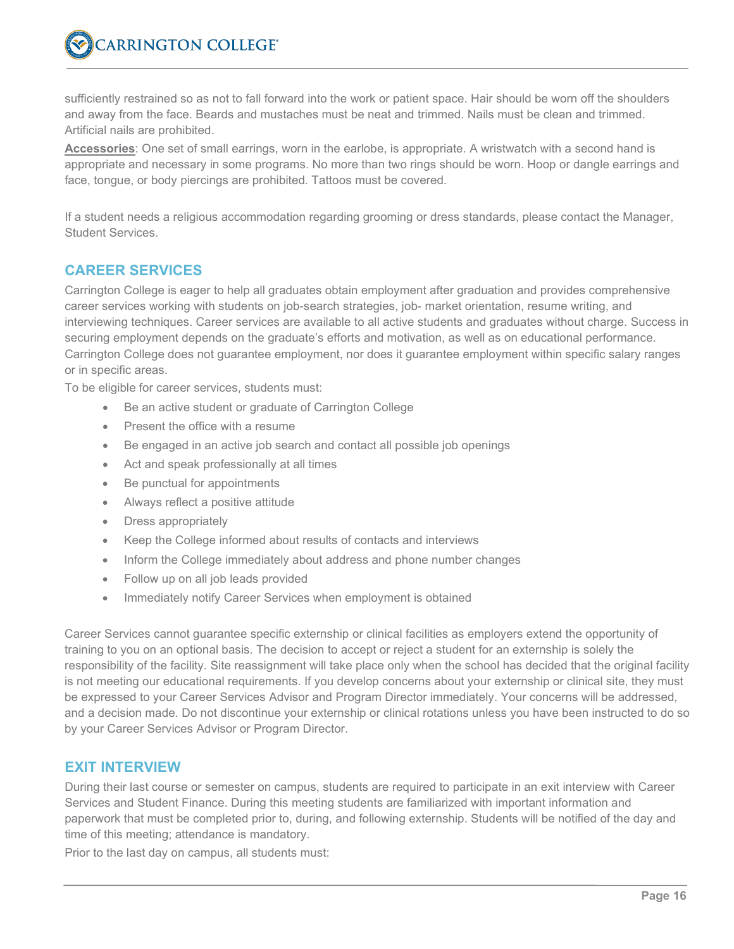sufficiently restrained so as not to fall forward into the work or patient space. Hair should be worn off the shoulders and away from the face. Beards and mustaches must be neat and trimmed. Nails must be clean and trimmed. Artificial nails are prohibited.

**Accessories**: One set of small earrings, worn in the earlobe, is appropriate. A wristwatch with a second hand is appropriate and necessary in some programs. No more than two rings should be worn. Hoop or dangle earrings and face, tongue, or body piercings are prohibited. Tattoos must be covered.

If a student needs a religious accommodation regarding grooming or dress standards, please contact the Manager, Student Services.

# **CAREER SERVICES**

Carrington College is eager to help all graduates obtain employment after graduation and provides comprehensive career services working with students on job-search strategies, job- market orientation, resume writing, and interviewing techniques. Career services are available to all active students and graduates without charge. Success in securing employment depends on the graduate's efforts and motivation, as well as on educational performance. Carrington College does not guarantee employment, nor does it guarantee employment within specific salary ranges or in specific areas.

To be eligible for career services, students must:

- Be an active student or graduate of Carrington College
- Present the office with a resume
- Be engaged in an active job search and contact all possible job openings
- Act and speak professionally at all times
- Be punctual for appointments
- Always reflect a positive attitude
- Dress appropriately
- Keep the College informed about results of contacts and interviews
- Inform the College immediately about address and phone number changes
- Follow up on all job leads provided
- Immediately notify Career Services when employment is obtained

Career Services cannot guarantee specific externship or clinical facilities as employers extend the opportunity of training to you on an optional basis. The decision to accept or reject a student for an externship is solely the responsibility of the facility. Site reassignment will take place only when the school has decided that the original facility is not meeting our educational requirements. If you develop concerns about your externship or clinical site, they must be expressed to your Career Services Advisor and Program Director immediately. Your concerns will be addressed, and a decision made. Do not discontinue your externship or clinical rotations unless you have been instructed to do so by your Career Services Advisor or Program Director.

#### **EXIT INTERVIEW**

During their last course or semester on campus, students are required to participate in an exit interview with Career Services and Student Finance. During this meeting students are familiarized with important information and paperwork that must be completed prior to, during, and following externship. Students will be notified of the day and time of this meeting; attendance is mandatory.

Prior to the last day on campus, all students must: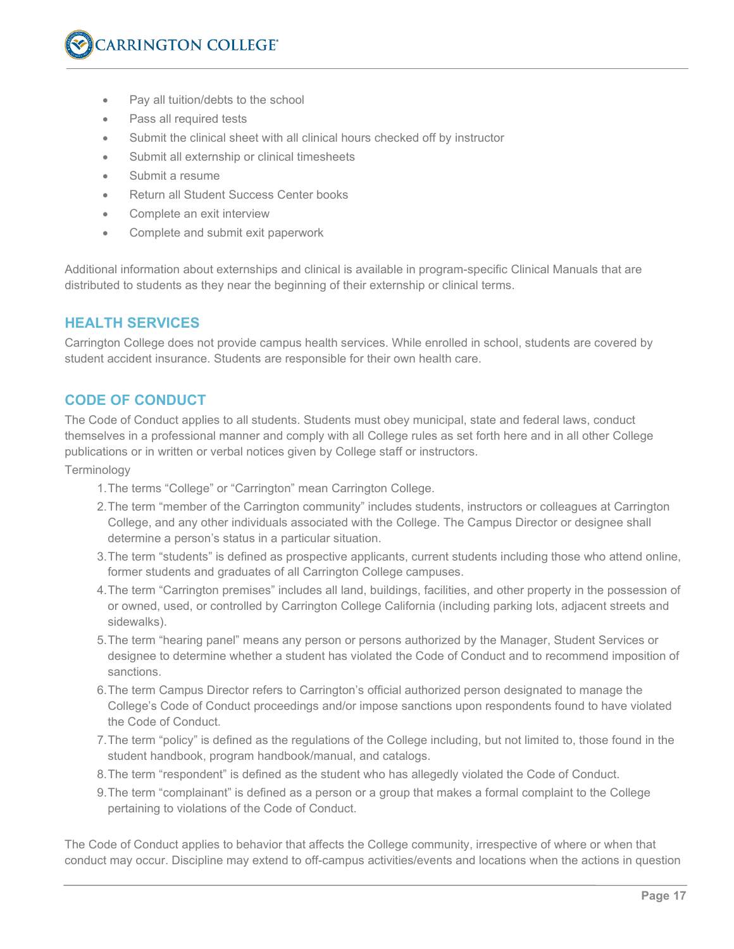- Pay all tuition/debts to the school
- Pass all required tests
- Submit the clinical sheet with all clinical hours checked off by instructor
- Submit all externship or clinical timesheets
- Submit a resume
- Return all Student Success Center books
- Complete an exit interview
- Complete and submit exit paperwork

Additional information about externships and clinical is available in program-specific Clinical Manuals that are distributed to students as they near the beginning of their externship or clinical terms.

#### **HEALTH SERVICES**

Carrington College does not provide campus health services. While enrolled in school, students are covered by student accident insurance. Students are responsible for their own health care.

#### **CODE OF CONDUCT**

The Code of Conduct applies to all students. Students must obey municipal, state and federal laws, conduct themselves in a professional manner and comply with all College rules as set forth here and in all other College publications or in written or verbal notices given by College staff or instructors.

Terminology

- 1.The terms "College" or "Carrington" mean Carrington College.
- 2.The term "member of the Carrington community" includes students, instructors or colleagues at Carrington College, and any other individuals associated with the College. The Campus Director or designee shall determine a person's status in a particular situation.
- 3.The term "students" is defined as prospective applicants, current students including those who attend online, former students and graduates of all Carrington College campuses.
- 4.The term "Carrington premises" includes all land, buildings, facilities, and other property in the possession of or owned, used, or controlled by Carrington College California (including parking lots, adjacent streets and sidewalks).
- 5.The term "hearing panel" means any person or persons authorized by the Manager, Student Services or designee to determine whether a student has violated the Code of Conduct and to recommend imposition of sanctions.
- 6.The term Campus Director refers to Carrington's official authorized person designated to manage the College's Code of Conduct proceedings and/or impose sanctions upon respondents found to have violated the Code of Conduct.
- 7.The term "policy" is defined as the regulations of the College including, but not limited to, those found in the student handbook, program handbook/manual, and catalogs.
- 8.The term "respondent" is defined as the student who has allegedly violated the Code of Conduct.
- 9.The term "complainant" is defined as a person or a group that makes a formal complaint to the College pertaining to violations of the Code of Conduct.

The Code of Conduct applies to behavior that affects the College community, irrespective of where or when that conduct may occur. Discipline may extend to off-campus activities/events and locations when the actions in question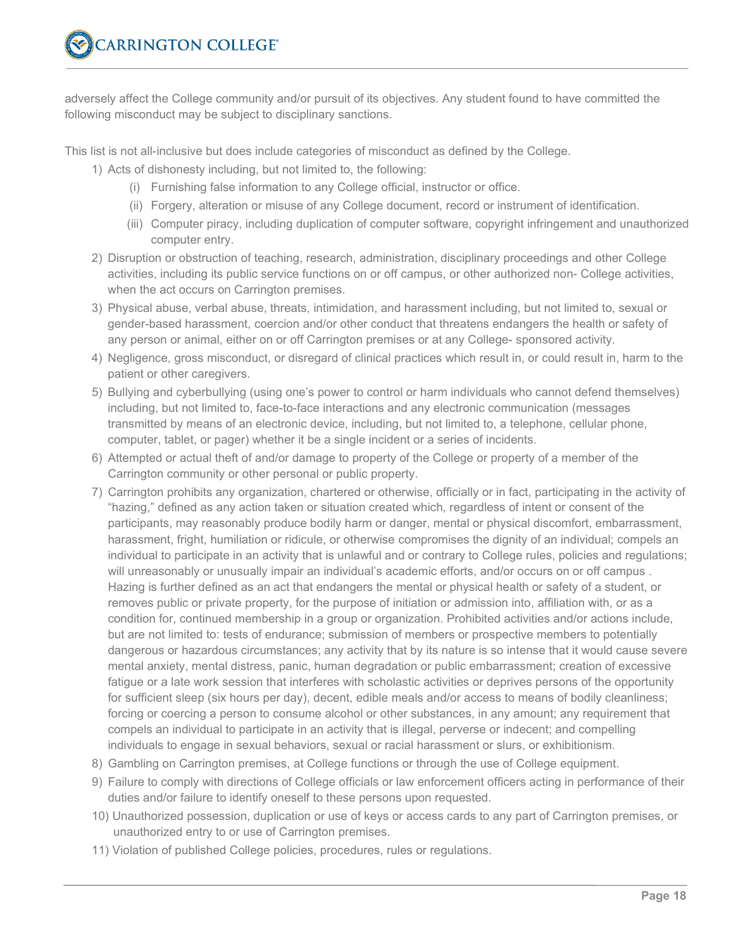adversely affect the College community and/or pursuit of its objectives. Any student found to have committed the following misconduct may be subject to disciplinary sanctions.

This list is not all-inclusive but does include categories of misconduct as defined by the College.

- 1) Acts of dishonesty including, but not limited to, the following:
	- (i) Furnishing false information to any College official, instructor or office.
	- (ii) Forgery, alteration or misuse of any College document, record or instrument of identification.
	- (iii) Computer piracy, including duplication of computer software, copyright infringement and unauthorized computer entry.
- 2) Disruption or obstruction of teaching, research, administration, disciplinary proceedings and other College activities, including its public service functions on or off campus, or other authorized non- College activities, when the act occurs on Carrington premises.
- 3) Physical abuse, verbal abuse, threats, intimidation, and harassment including, but not limited to, sexual or gender-based harassment, coercion and/or other conduct that threatens endangers the health or safety of any person or animal, either on or off Carrington premises or at any College- sponsored activity.
- 4) Negligence, gross misconduct, or disregard of clinical practices which result in, or could result in, harm to the patient or other caregivers.
- 5) Bullying and cyberbullying (using one's power to control or harm individuals who cannot defend themselves) including, but not limited to, face-to-face interactions and any electronic communication (messages transmitted by means of an electronic device, including, but not limited to, a telephone, cellular phone, computer, tablet, or pager) whether it be a single incident or a series of incidents.
- 6) Attempted or actual theft of and/or damage to property of the College or property of a member of the Carrington community or other personal or public property.
- 7) Carrington prohibits any organization, chartered or otherwise, officially or in fact, participating in the activity of "hazing," defined as any action taken or situation created which, regardless of intent or consent of the participants, may reasonably produce bodily harm or danger, mental or physical discomfort, embarrassment, harassment, fright, humiliation or ridicule, or otherwise compromises the dignity of an individual; compels an individual to participate in an activity that is unlawful and or contrary to College rules, policies and regulations; will unreasonably or unusually impair an individual's academic efforts, and/or occurs on or off campus . Hazing is further defined as an act that endangers the mental or physical health or safety of a student, or removes public or private property, for the purpose of initiation or admission into, affiliation with, or as a condition for, continued membership in a group or organization. Prohibited activities and/or actions include, but are not limited to: tests of endurance; submission of members or prospective members to potentially dangerous or hazardous circumstances; any activity that by its nature is so intense that it would cause severe mental anxiety, mental distress, panic, human degradation or public embarrassment; creation of excessive fatigue or a late work session that interferes with scholastic activities or deprives persons of the opportunity for sufficient sleep (six hours per day), decent, edible meals and/or access to means of bodily cleanliness; forcing or coercing a person to consume alcohol or other substances, in any amount; any requirement that compels an individual to participate in an activity that is illegal, perverse or indecent; and compelling individuals to engage in sexual behaviors, sexual or racial harassment or slurs, or exhibitionism.
- 8) Gambling on Carrington premises, at College functions or through the use of College equipment.
- 9) Failure to comply with directions of College officials or law enforcement officers acting in performance of their duties and/or failure to identify oneself to these persons upon requested.
- 10) Unauthorized possession, duplication or use of keys or access cards to any part of Carrington premises, or unauthorized entry to or use of Carrington premises.
- 11) Violation of published College policies, procedures, rules or regulations.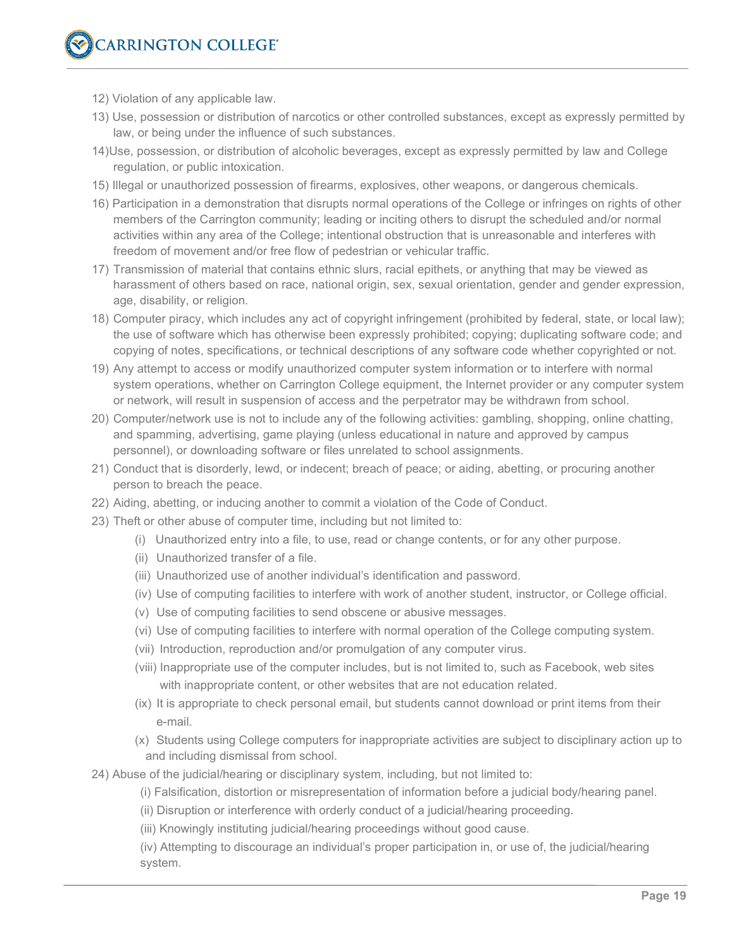- 12) Violation of any applicable law.
- 13) Use, possession or distribution of narcotics or other controlled substances, except as expressly permitted by law, or being under the influence of such substances.
- 14)Use, possession, or distribution of alcoholic beverages, except as expressly permitted by law and College regulation, or public intoxication.
- 15) Illegal or unauthorized possession of firearms, explosives, other weapons, or dangerous chemicals.
- 16) Participation in a demonstration that disrupts normal operations of the College or infringes on rights of other members of the Carrington community; leading or inciting others to disrupt the scheduled and/or normal activities within any area of the College; intentional obstruction that is unreasonable and interferes with freedom of movement and/or free flow of pedestrian or vehicular traffic.
- 17) Transmission of material that contains ethnic slurs, racial epithets, or anything that may be viewed as harassment of others based on race, national origin, sex, sexual orientation, gender and gender expression, age, disability, or religion.
- 18) Computer piracy, which includes any act of copyright infringement (prohibited by federal, state, or local law); the use of software which has otherwise been expressly prohibited; copying; duplicating software code; and copying of notes, specifications, or technical descriptions of any software code whether copyrighted or not.
- 19) Any attempt to access or modify unauthorized computer system information or to interfere with normal system operations, whether on Carrington College equipment, the Internet provider or any computer system or network, will result in suspension of access and the perpetrator may be withdrawn from school.
- 20) Computer/network use is not to include any of the following activities: gambling, shopping, online chatting, and spamming, advertising, game playing (unless educational in nature and approved by campus personnel), or downloading software or files unrelated to school assignments.
- 21) Conduct that is disorderly, lewd, or indecent; breach of peace; or aiding, abetting, or procuring another person to breach the peace.
- 22) Aiding, abetting, or inducing another to commit a violation of the Code of Conduct.
- 23) Theft or other abuse of computer time, including but not limited to:
	- (i) Unauthorized entry into a file, to use, read or change contents, or for any other purpose.
	- (ii) Unauthorized transfer of a file.
	- (iii) Unauthorized use of another individual's identification and password.
	- (iv) Use of computing facilities to interfere with work of another student, instructor, or College official.
	- (v) Use of computing facilities to send obscene or abusive messages.
	- (vi) Use of computing facilities to interfere with normal operation of the College computing system.
	- (vii) Introduction, reproduction and/or promulgation of any computer virus.
	- (viii) Inappropriate use of the computer includes, but is not limited to, such as Facebook, web sites with inappropriate content, or other websites that are not education related.
	- (ix) It is appropriate to check personal email, but students cannot download or print items from their e-mail.
	- (x) Students using College computers for inappropriate activities are subject to disciplinary action up to and including dismissal from school.
- 24) Abuse of the judicial/hearing or disciplinary system, including, but not limited to:
	- (i) Falsification, distortion or misrepresentation of information before a judicial body/hearing panel.
	- (ii) Disruption or interference with orderly conduct of a judicial/hearing proceeding.
	- (iii) Knowingly instituting judicial/hearing proceedings without good cause.

(iv) Attempting to discourage an individual's proper participation in, or use of, the judicial/hearing system.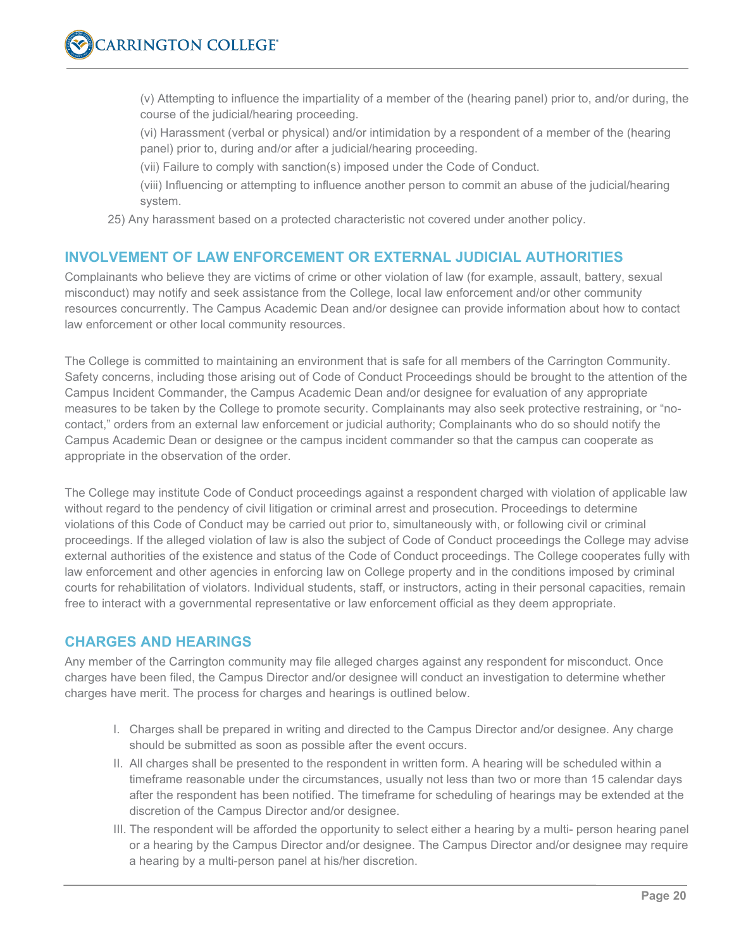(v) Attempting to influence the impartiality of a member of the (hearing panel) prior to, and/or during, the course of the judicial/hearing proceeding.

(vi) Harassment (verbal or physical) and/or intimidation by a respondent of a member of the (hearing panel) prior to, during and/or after a judicial/hearing proceeding.

(vii) Failure to comply with sanction(s) imposed under the Code of Conduct.

(viii) Influencing or attempting to influence another person to commit an abuse of the judicial/hearing system.

25) Any harassment based on a protected characteristic not covered under another policy.

# **INVOLVEMENT OF LAW ENFORCEMENT OR EXTERNAL JUDICIAL AUTHORITIES**

Complainants who believe they are victims of crime or other violation of law (for example, assault, battery, sexual misconduct) may notify and seek assistance from the College, local law enforcement and/or other community resources concurrently. The Campus Academic Dean and/or designee can provide information about how to contact law enforcement or other local community resources.

The College is committed to maintaining an environment that is safe for all members of the Carrington Community. Safety concerns, including those arising out of Code of Conduct Proceedings should be brought to the attention of the Campus Incident Commander, the Campus Academic Dean and/or designee for evaluation of any appropriate measures to be taken by the College to promote security. Complainants may also seek protective restraining, or "nocontact," orders from an external law enforcement or judicial authority; Complainants who do so should notify the Campus Academic Dean or designee or the campus incident commander so that the campus can cooperate as appropriate in the observation of the order.

The College may institute Code of Conduct proceedings against a respondent charged with violation of applicable law without regard to the pendency of civil litigation or criminal arrest and prosecution. Proceedings to determine violations of this Code of Conduct may be carried out prior to, simultaneously with, or following civil or criminal proceedings. If the alleged violation of law is also the subject of Code of Conduct proceedings the College may advise external authorities of the existence and status of the Code of Conduct proceedings. The College cooperates fully with law enforcement and other agencies in enforcing law on College property and in the conditions imposed by criminal courts for rehabilitation of violators. Individual students, staff, or instructors, acting in their personal capacities, remain free to interact with a governmental representative or law enforcement official as they deem appropriate.

# **CHARGES AND HEARINGS**

Any member of the Carrington community may file alleged charges against any respondent for misconduct. Once charges have been filed, the Campus Director and/or designee will conduct an investigation to determine whether charges have merit. The process for charges and hearings is outlined below.

- I. Charges shall be prepared in writing and directed to the Campus Director and/or designee. Any charge should be submitted as soon as possible after the event occurs.
- II. All charges shall be presented to the respondent in written form. A hearing will be scheduled within a timeframe reasonable under the circumstances, usually not less than two or more than 15 calendar days after the respondent has been notified. The timeframe for scheduling of hearings may be extended at the discretion of the Campus Director and/or designee.
- III. The respondent will be afforded the opportunity to select either a hearing by a multi- person hearing panel or a hearing by the Campus Director and/or designee. The Campus Director and/or designee may require a hearing by a multi-person panel at his/her discretion.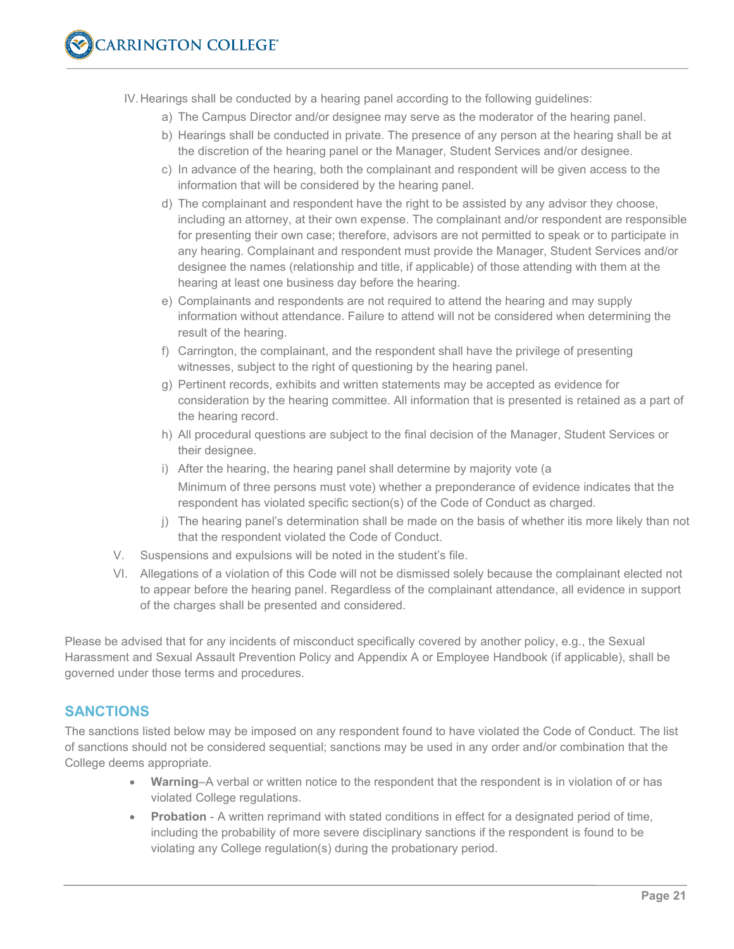IV.Hearings shall be conducted by a hearing panel according to the following guidelines:

- a) The Campus Director and/or designee may serve as the moderator of the hearing panel.
- b) Hearings shall be conducted in private. The presence of any person at the hearing shall be at the discretion of the hearing panel or the Manager, Student Services and/or designee.
- c) In advance of the hearing, both the complainant and respondent will be given access to the information that will be considered by the hearing panel.
- d) The complainant and respondent have the right to be assisted by any advisor they choose, including an attorney, at their own expense. The complainant and/or respondent are responsible for presenting their own case; therefore, advisors are not permitted to speak or to participate in any hearing. Complainant and respondent must provide the Manager, Student Services and/or designee the names (relationship and title, if applicable) of those attending with them at the hearing at least one business day before the hearing.
- e) Complainants and respondents are not required to attend the hearing and may supply information without attendance. Failure to attend will not be considered when determining the result of the hearing.
- f) Carrington, the complainant, and the respondent shall have the privilege of presenting witnesses, subject to the right of questioning by the hearing panel.
- g) Pertinent records, exhibits and written statements may be accepted as evidence for consideration by the hearing committee. All information that is presented is retained as a part of the hearing record.
- h) All procedural questions are subject to the final decision of the Manager, Student Services or their designee.
- i) After the hearing, the hearing panel shall determine by majority vote (a Minimum of three persons must vote) whether a preponderance of evidence indicates that the respondent has violated specific section(s) of the Code of Conduct as charged.
- j) The hearing panel's determination shall be made on the basis of whether itis more likely than not that the respondent violated the Code of Conduct.
- V. Suspensions and expulsions will be noted in the student's file.
- VI. Allegations of a violation of this Code will not be dismissed solely because the complainant elected not to appear before the hearing panel. Regardless of the complainant attendance, all evidence in support of the charges shall be presented and considered.

Please be advised that for any incidents of misconduct specifically covered by another policy, e.g., the Sexual Harassment and Sexual Assault Prevention Policy and Appendix A or Employee Handbook (if applicable), shall be governed under those terms and procedures.

# **SANCTIONS**

The sanctions listed below may be imposed on any respondent found to have violated the Code of Conduct. The list of sanctions should not be considered sequential; sanctions may be used in any order and/or combination that the College deems appropriate.

- Warning–A verbal or written notice to the respondent that the respondent is in violation of or has violated College regulations.
- **Probation** A written reprimand with stated conditions in effect for a designated period of time, including the probability of more severe disciplinary sanctions if the respondent is found to be violating any College regulation(s) during the probationary period.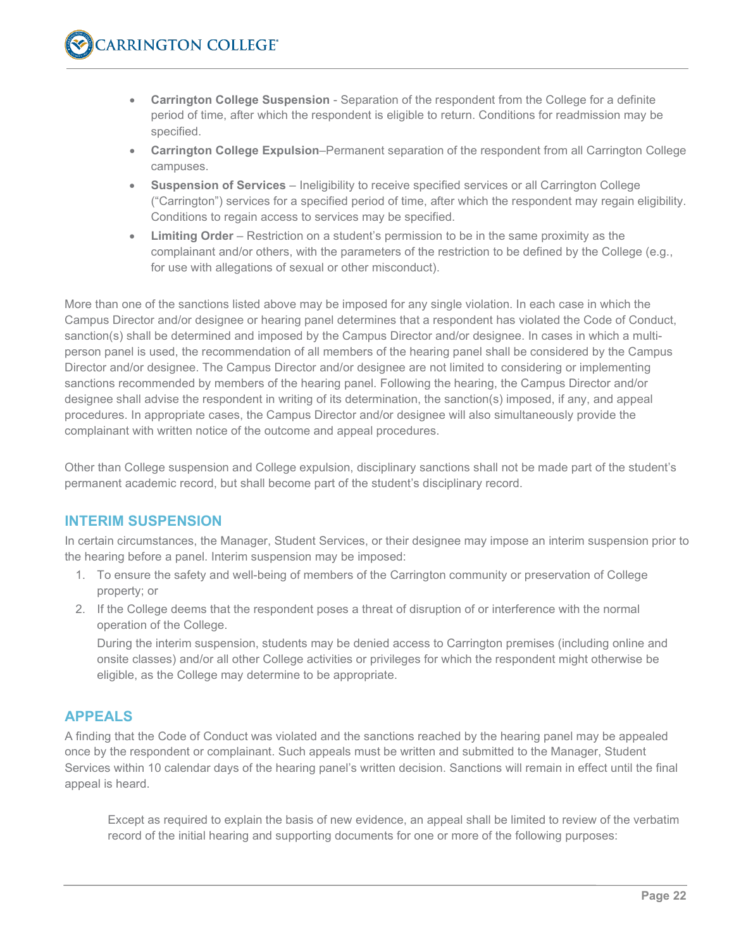- **Carrington College Suspension** Separation of the respondent from the College for a definite period of time, after which the respondent is eligible to return. Conditions for readmission may be specified.
- **Carrington College Expulsion**–Permanent separation of the respondent from all Carrington College campuses.
- **Suspension of Services** Ineligibility to receive specified services or all Carrington College ("Carrington") services for a specified period of time, after which the respondent may regain eligibility. Conditions to regain access to services may be specified.
- **Limiting Order** Restriction on a student's permission to be in the same proximity as the complainant and/or others, with the parameters of the restriction to be defined by the College (e.g., for use with allegations of sexual or other misconduct).

More than one of the sanctions listed above may be imposed for any single violation. In each case in which the Campus Director and/or designee or hearing panel determines that a respondent has violated the Code of Conduct, sanction(s) shall be determined and imposed by the Campus Director and/or designee. In cases in which a multiperson panel is used, the recommendation of all members of the hearing panel shall be considered by the Campus Director and/or designee. The Campus Director and/or designee are not limited to considering or implementing sanctions recommended by members of the hearing panel. Following the hearing, the Campus Director and/or designee shall advise the respondent in writing of its determination, the sanction(s) imposed, if any, and appeal procedures. In appropriate cases, the Campus Director and/or designee will also simultaneously provide the complainant with written notice of the outcome and appeal procedures.

Other than College suspension and College expulsion, disciplinary sanctions shall not be made part of the student's permanent academic record, but shall become part of the student's disciplinary record.

# **INTERIM SUSPENSION**

In certain circumstances, the Manager, Student Services, or their designee may impose an interim suspension prior to the hearing before a panel. Interim suspension may be imposed:

- 1. To ensure the safety and well-being of members of the Carrington community or preservation of College property; or
- 2. If the College deems that the respondent poses a threat of disruption of or interference with the normal operation of the College.

During the interim suspension, students may be denied access to Carrington premises (including online and onsite classes) and/or all other College activities or privileges for which the respondent might otherwise be eligible, as the College may determine to be appropriate.

# **APPEALS**

A finding that the Code of Conduct was violated and the sanctions reached by the hearing panel may be appealed once by the respondent or complainant. Such appeals must be written and submitted to the Manager, Student Services within 10 calendar days of the hearing panel's written decision. Sanctions will remain in effect until the final appeal is heard.

Except as required to explain the basis of new evidence, an appeal shall be limited to review of the verbatim record of the initial hearing and supporting documents for one or more of the following purposes: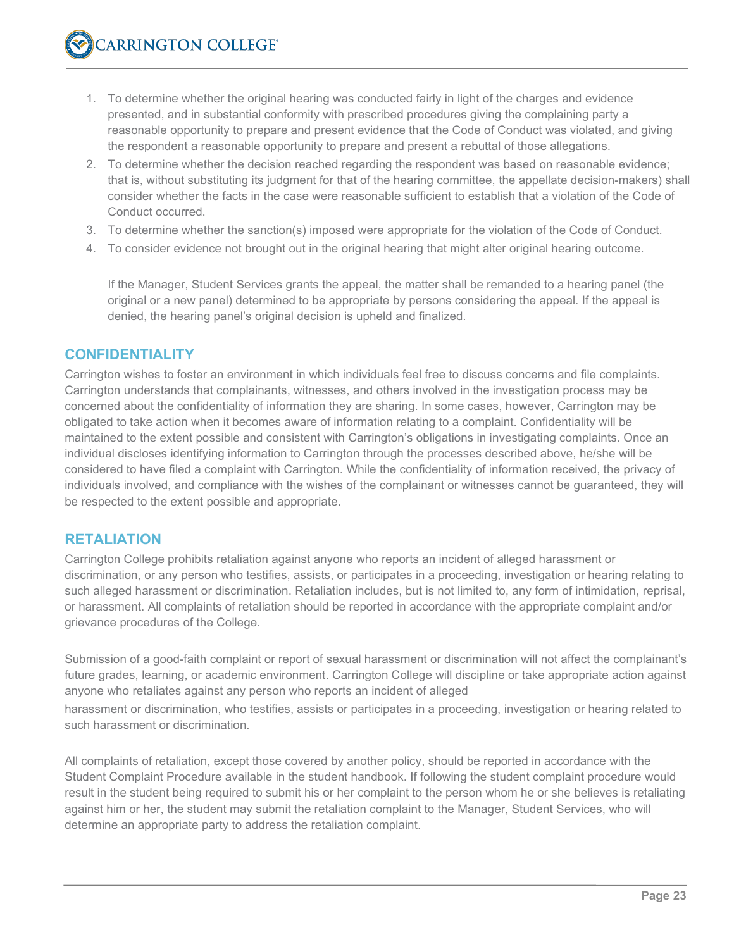- 1. To determine whether the original hearing was conducted fairly in light of the charges and evidence presented, and in substantial conformity with prescribed procedures giving the complaining party a reasonable opportunity to prepare and present evidence that the Code of Conduct was violated, and giving the respondent a reasonable opportunity to prepare and present a rebuttal of those allegations.
- 2. To determine whether the decision reached regarding the respondent was based on reasonable evidence; that is, without substituting its judgment for that of the hearing committee, the appellate decision-makers) shall consider whether the facts in the case were reasonable sufficient to establish that a violation of the Code of Conduct occurred.
- 3. To determine whether the sanction(s) imposed were appropriate for the violation of the Code of Conduct.
- 4. To consider evidence not brought out in the original hearing that might alter original hearing outcome.

If the Manager, Student Services grants the appeal, the matter shall be remanded to a hearing panel (the original or a new panel) determined to be appropriate by persons considering the appeal. If the appeal is denied, the hearing panel's original decision is upheld and finalized.

#### **CONFIDENTIALITY**

Carrington wishes to foster an environment in which individuals feel free to discuss concerns and file complaints. Carrington understands that complainants, witnesses, and others involved in the investigation process may be concerned about the confidentiality of information they are sharing. In some cases, however, Carrington may be obligated to take action when it becomes aware of information relating to a complaint. Confidentiality will be maintained to the extent possible and consistent with Carrington's obligations in investigating complaints. Once an individual discloses identifying information to Carrington through the processes described above, he/she will be considered to have filed a complaint with Carrington. While the confidentiality of information received, the privacy of individuals involved, and compliance with the wishes of the complainant or witnesses cannot be guaranteed, they will be respected to the extent possible and appropriate.

#### **RETALIATION**

Carrington College prohibits retaliation against anyone who reports an incident of alleged harassment or discrimination, or any person who testifies, assists, or participates in a proceeding, investigation or hearing relating to such alleged harassment or discrimination. Retaliation includes, but is not limited to, any form of intimidation, reprisal, or harassment. All complaints of retaliation should be reported in accordance with the appropriate complaint and/or grievance procedures of the College.

Submission of a good-faith complaint or report of sexual harassment or discrimination will not affect the complainant's future grades, learning, or academic environment. Carrington College will discipline or take appropriate action against anyone who retaliates against any person who reports an incident of alleged

harassment or discrimination, who testifies, assists or participates in a proceeding, investigation or hearing related to such harassment or discrimination.

All complaints of retaliation, except those covered by another policy, should be reported in accordance with the Student Complaint Procedure available in the student handbook. If following the student complaint procedure would result in the student being required to submit his or her complaint to the person whom he or she believes is retaliating against him or her, the student may submit the retaliation complaint to the Manager, Student Services, who will determine an appropriate party to address the retaliation complaint.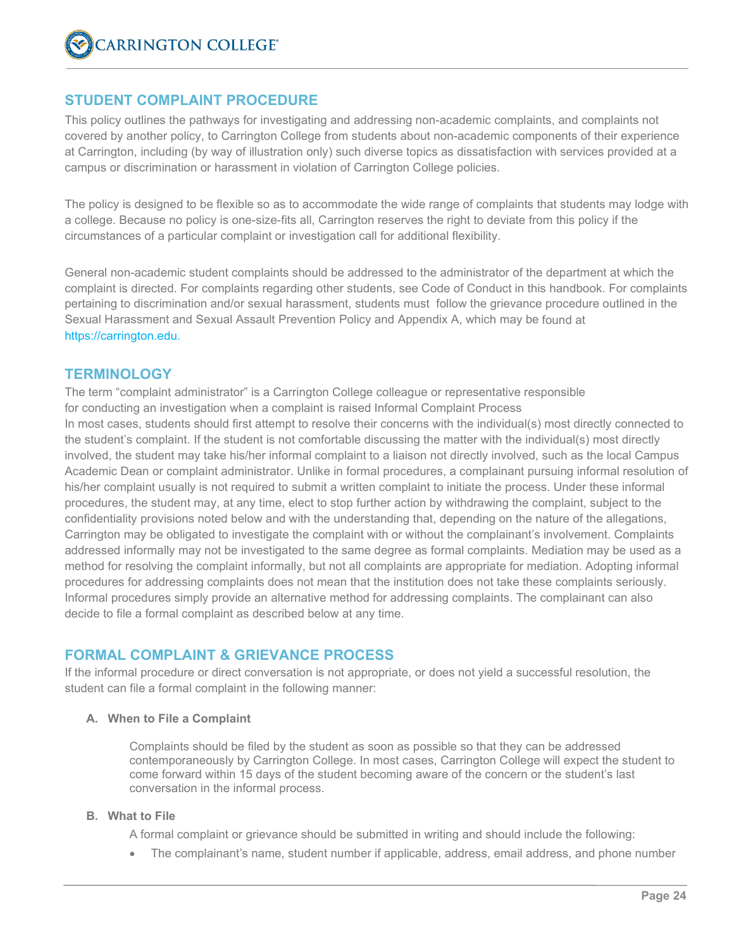#### **STUDENT COMPLAINT PROCEDURE**

This policy outlines the pathways for investigating and addressing non-academic complaints, and complaints not covered by another policy, to Carrington College from students about non-academic components of their experience at Carrington, including (by way of illustration only) such diverse topics as dissatisfaction with services provided at a campus or discrimination or harassment in violation of Carrington College policies.

The policy is designed to be flexible so as to accommodate the wide range of complaints that students may lodge with a college. Because no policy is one-size-fits all, Carrington reserves the right to deviate from this policy if the circumstances of a particular complaint or investigation call for additional flexibility.

General non-academic student complaints should be addressed to the administrator of the department at which the complaint is directed. For complaints regarding other students, see Code of Conduct in this handbook. For complaints pertaining to discrimination and/or sexual harassment, students must follow the grievance procedure outlined in the Sexual Harassment and Sexual Assault Prevention Policy and Appendix A, which may be found at [https://carrington.edu.](https://carrington.edu/)

#### **TERMINOLOGY**

The term "complaint administrator" is a Carrington College colleague or representative responsible for conducting an investigation when a complaint is raised Informal Complaint Process In most cases, students should first attempt to resolve their concerns with the individual(s) most directly connected to the student's complaint. If the student is not comfortable discussing the matter with the individual(s) most directly involved, the student may take his/her informal complaint to a liaison not directly involved, such as the local Campus Academic Dean or complaint administrator. Unlike in formal procedures, a complainant pursuing informal resolution of his/her complaint usually is not required to submit a written complaint to initiate the process. Under these informal procedures, the student may, at any time, elect to stop further action by withdrawing the complaint, subject to the confidentiality provisions noted below and with the understanding that, depending on the nature of the allegations, Carrington may be obligated to investigate the complaint with or without the complainant's involvement. Complaints addressed informally may not be investigated to the same degree as formal complaints. Mediation may be used as a method for resolving the complaint informally, but not all complaints are appropriate for mediation. Adopting informal procedures for addressing complaints does not mean that the institution does not take these complaints seriously. Informal procedures simply provide an alternative method for addressing complaints. The complainant can also decide to file a formal complaint as described below at any time.

# **FORMAL COMPLAINT & GRIEVANCE PROCESS**

If the informal procedure or direct conversation is not appropriate, or does not yield a successful resolution, the student can file a formal complaint in the following manner:

#### **A. When to File a Complaint**

Complaints should be filed by the student as soon as possible so that they can be addressed contemporaneously by Carrington College. In most cases, Carrington College will expect the student to come forward within 15 days of the student becoming aware of the concern or the student's last conversation in the informal process.

#### **B. What to File**

A formal complaint or grievance should be submitted in writing and should include the following:

• The complainant's name, student number if applicable, address, email address, and phone number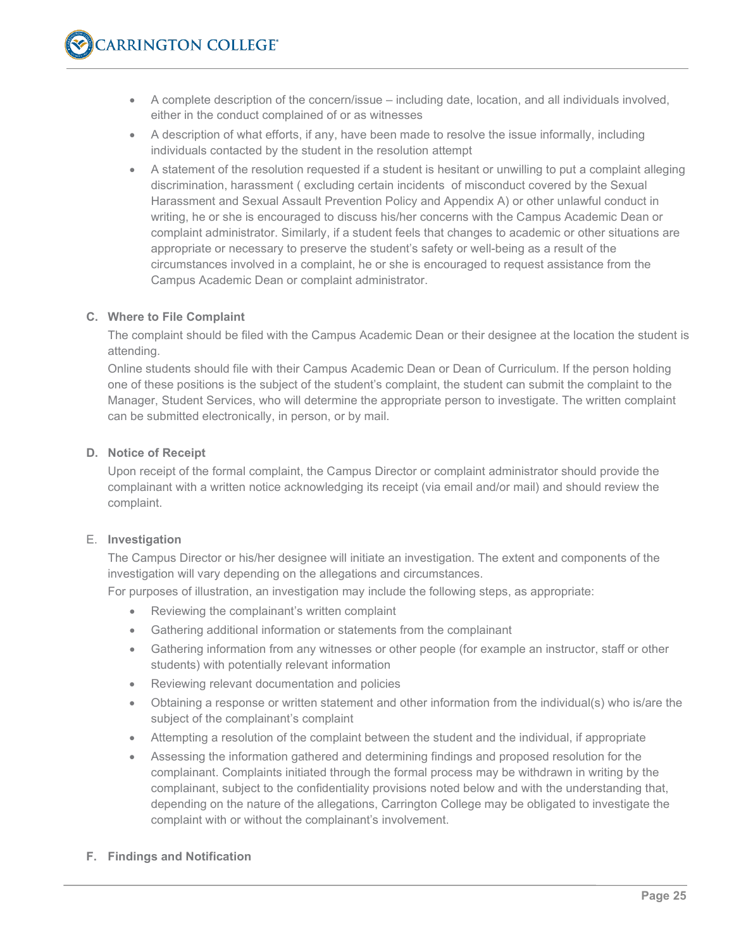- A complete description of the concern/issue including date, location, and all individuals involved, either in the conduct complained of or as witnesses
- A description of what efforts, if any, have been made to resolve the issue informally, including individuals contacted by the student in the resolution attempt
- A statement of the resolution requested if a student is hesitant or unwilling to put a complaint alleging discrimination, harassment ( excluding certain incidents of misconduct covered by the Sexual Harassment and Sexual Assault Prevention Policy and Appendix A) or other unlawful conduct in writing, he or she is encouraged to discuss his/her concerns with the Campus Academic Dean or complaint administrator. Similarly, if a student feels that changes to academic or other situations are appropriate or necessary to preserve the student's safety or well-being as a result of the circumstances involved in a complaint, he or she is encouraged to request assistance from the Campus Academic Dean or complaint administrator.

#### **C. Where to File Complaint**

The complaint should be filed with the Campus Academic Dean or their designee at the location the student is attending.

Online students should file with their Campus Academic Dean or Dean of Curriculum. If the person holding one of these positions is the subject of the student's complaint, the student can submit the complaint to the Manager, Student Services, who will determine the appropriate person to investigate. The written complaint can be submitted electronically, in person, or by mail.

#### **D. Notice of Receipt**

Upon receipt of the formal complaint, the Campus Director or complaint administrator should provide the complainant with a written notice acknowledging its receipt (via email and/or mail) and should review the complaint.

#### E. **Investigation**

The Campus Director or his/her designee will initiate an investigation. The extent and components of the investigation will vary depending on the allegations and circumstances.

For purposes of illustration, an investigation may include the following steps, as appropriate:

- Reviewing the complainant's written complaint
- Gathering additional information or statements from the complainant
- Gathering information from any witnesses or other people (for example an instructor, staff or other students) with potentially relevant information
- Reviewing relevant documentation and policies
- Obtaining a response or written statement and other information from the individual(s) who is/are the subject of the complainant's complaint
- Attempting a resolution of the complaint between the student and the individual, if appropriate
- Assessing the information gathered and determining findings and proposed resolution for the complainant. Complaints initiated through the formal process may be withdrawn in writing by the complainant, subject to the confidentiality provisions noted below and with the understanding that, depending on the nature of the allegations, Carrington College may be obligated to investigate the complaint with or without the complainant's involvement.

#### **F. Findings and Notification**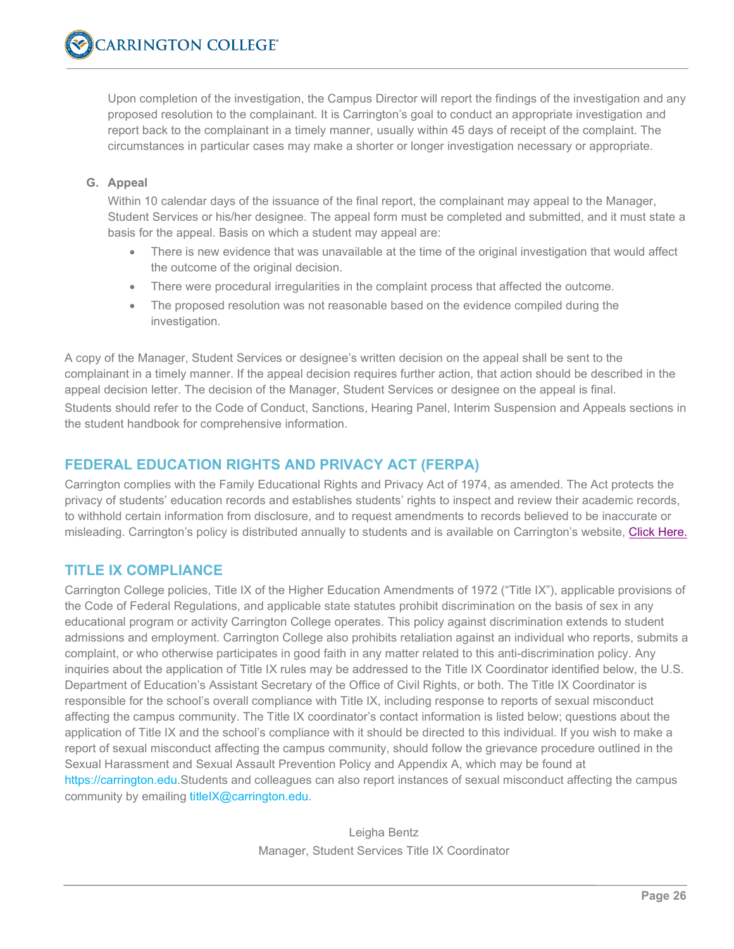Upon completion of the investigation, the Campus Director will report the findings of the investigation and any proposed resolution to the complainant. It is Carrington's goal to conduct an appropriate investigation and report back to the complainant in a timely manner, usually within 45 days of receipt of the complaint. The circumstances in particular cases may make a shorter or longer investigation necessary or appropriate.

#### **G. Appeal**

Within 10 calendar days of the issuance of the final report, the complainant may appeal to the Manager, Student Services or his/her designee. The appeal form must be completed and submitted, and it must state a basis for the appeal. Basis on which a student may appeal are:

- There is new evidence that was unavailable at the time of the original investigation that would affect the outcome of the original decision.
- There were procedural irregularities in the complaint process that affected the outcome.
- The proposed resolution was not reasonable based on the evidence compiled during the investigation.

A copy of the Manager, Student Services or designee's written decision on the appeal shall be sent to the complainant in a timely manner. If the appeal decision requires further action, that action should be described in the appeal decision letter. The decision of the Manager, Student Services or designee on the appeal is final. Students should refer to the Code of Conduct, Sanctions, Hearing Panel, Interim Suspension and Appeals sections in the student handbook for comprehensive information.

# **FEDERAL EDUCATION RIGHTS AND PRIVACY ACT (FERPA)**

Carrington complies with the Family Educational Rights and Privacy Act of 1974, as amended. The Act protects the privacy of students' education records and establishes students' rights to inspect and review their academic records, to withhold certain information from disclosure, and to request amendments to records believed to be inaccurate or misleading. Carrington's policy is distributed annually to students and is available on Carrington's website, [Click Here.](https://carrington.edu/wp-content/uploads/2020/12/Carrington-College-Annual-FERPA-Notice-2020.pdf)

# **TITLE IX COMPLIANCE**

Carrington College policies, Title IX of the Higher Education Amendments of 1972 ("Title IX"), applicable provisions of the Code of Federal Regulations, and applicable state statutes prohibit discrimination on the basis of sex in any educational program or activity Carrington College operates. This policy against discrimination extends to student admissions and employment. Carrington College also prohibits retaliation against an individual who reports, submits a complaint, or who otherwise participates in good faith in any matter related to this anti-discrimination policy. Any inquiries about the application of Title IX rules may be addressed to the Title IX Coordinator identified below, the U.S. Department of Education's Assistant Secretary of the Office of Civil Rights, or both. The Title IX Coordinator is responsible for the school's overall compliance with Title IX, including response to reports of sexual misconduct affecting the campus community. The Title IX coordinator's contact information is listed below; questions about the application of Title IX and the school's compliance with it should be directed to this individual. If you wish to make a report of sexual misconduct affecting the campus community, should follow the grievance procedure outlined in the Sexual Harassment and Sexual Assault Prevention Policy and Appendix A, which may be found at [https://carrington.edu.](https://carrington.edu/)Students and colleagues can also report instances of sexual misconduct affecting the campus community by emailing titleIX@carrington.edu.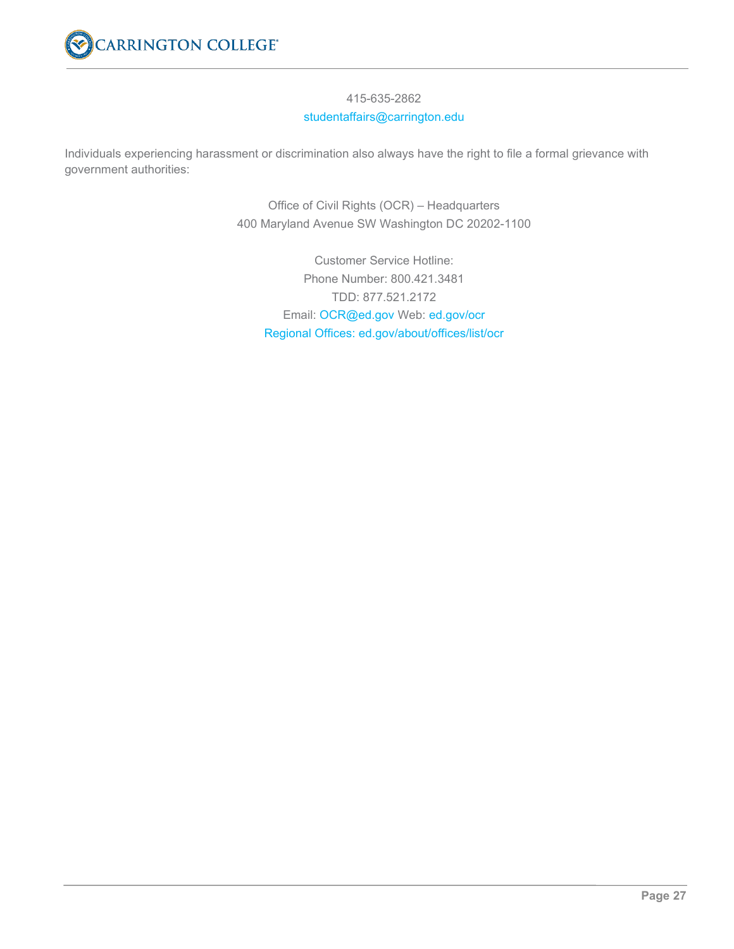

#### 415-635-2862 studentaffairs@carrington.edu

Individuals experiencing harassment or discrimination also always have the right to file a formal grievance with government authorities:

> Office of Civil Rights (OCR) – Headquarters 400 Maryland Avenue SW Washington DC 20202-1100

Customer Service Hotline: Phone Number: 800.421.3481 TDD: 877.521.2172 Email: OCR@ed.gov Web: ed.gov/ocr Regional Offices: ed.gov/about/offices/list/ocr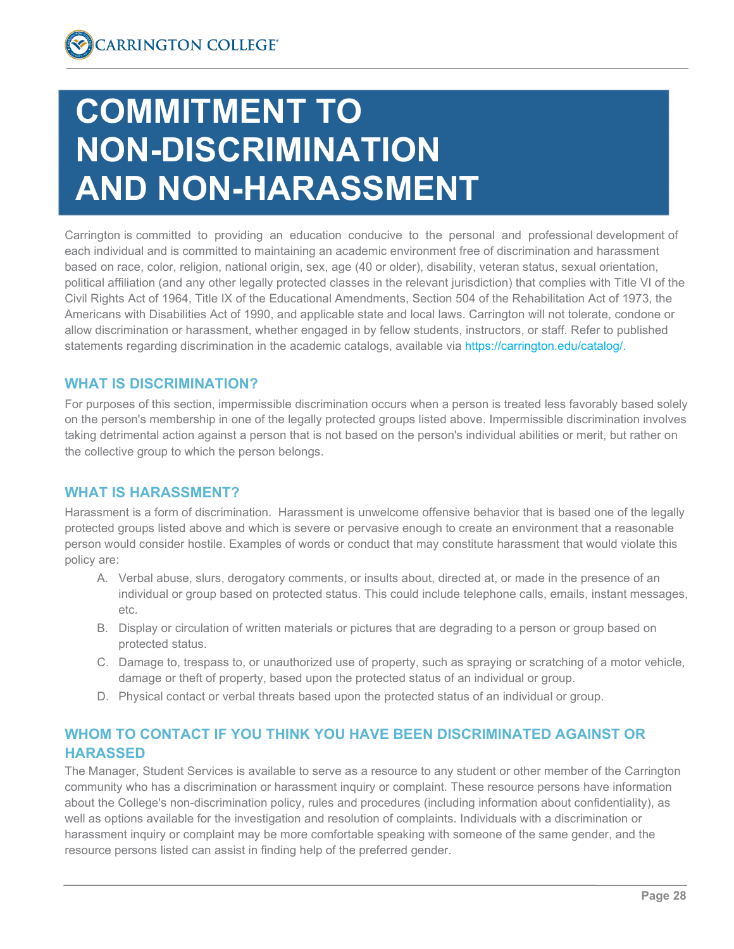# **COMMITMENT TO NON-DISCRIMINATION AND NON-HARASSMENT**

Carrington is committed to providing an education conducive to the personal and professional development of each individual and is committed to maintaining an academic environment free of discrimination and harassment based on race, color, religion, national origin, sex, age (40 or older), disability, veteran status, sexual orientation, political affiliation (and any other legally protected classes in the relevant jurisdiction) that complies with Title VI of the Civil Rights Act of 1964, Title IX of the Educational Amendments, Section 504 of the Rehabilitation Act of 1973, the Americans with Disabilities Act of 1990, and applicable state and local laws. Carrington will not tolerate, condone or allow discrimination or harassment, whether engaged in by fellow students, instructors, or staff. Refer to published statements regarding discrimination in the academic catalogs, available via [https://carrington.edu/catalog/.](https://carrington.edu/catalog/)

# **WHAT IS DISCRIMINATION?**

For purposes of this section, impermissible discrimination occurs when a person is treated less favorably based solely on the person's membership in one of the legally protected groups listed above. Impermissible discrimination involves taking detrimental action against a person that is not based on the person's individual abilities or merit, but rather on the collective group to which the person belongs.

# **WHAT IS HARASSMENT?**

Harassment is a form of discrimination. Harassment is unwelcome offensive behavior that is based one of the legally protected groups listed above and which is severe or pervasive enough to create an environment that a reasonable person would consider hostile. Examples of words or conduct that may constitute harassment that would violate this policy are:

- A. Verbal abuse, slurs, derogatory comments, or insults about, directed at, or made in the presence of an individual or group based on protected status. This could include telephone calls, emails, instant messages, etc.
- B. Display or circulation of written materials or pictures that are degrading to a person or group based on protected status.
- C. Damage to, trespass to, or unauthorized use of property, such as spraying or scratching of a motor vehicle, damage or theft of property, based upon the protected status of an individual or group.
- D. Physical contact or verbal threats based upon the protected status of an individual or group.

# **WHOM TO CONTACT IF YOU THINK YOU HAVE BEEN DISCRIMINATED AGAINST OR HARASSED**

The Manager, Student Services is available to serve as a resource to any student or other member of the Carrington community who has a discrimination or harassment inquiry or complaint. These resource persons have information about the College's non-discrimination policy, rules and procedures (including information about confidentiality), as well as options available for the investigation and resolution of complaints. Individuals with a discrimination or harassment inquiry or complaint may be more comfortable speaking with someone of the same gender, and the resource persons listed can assist in finding help of the preferred gender.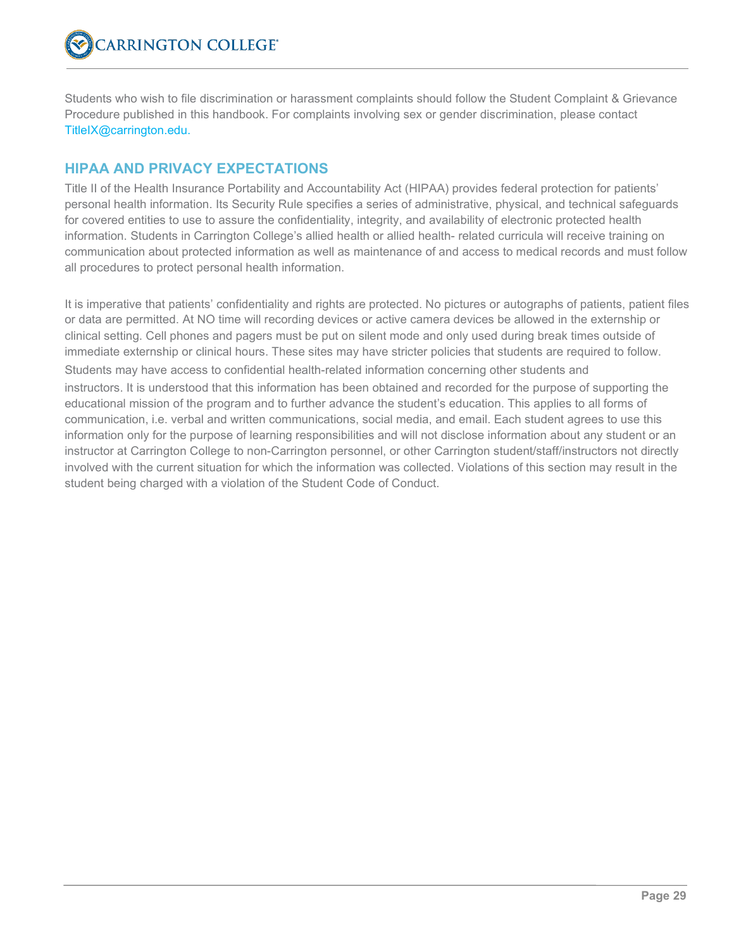Students who wish to file discrimination or harassment complaints should follow the Student Complaint & Grievance Procedure published in this handbook. For complaints involving sex or gender discrimination, please contact TitleIX@carrington.edu.

# **HIPAA AND PRIVACY EXPECTATIONS**

Title II of the Health Insurance Portability and Accountability Act (HIPAA) provides federal protection for patients' personal health information. Its Security Rule specifies a series of administrative, physical, and technical safeguards for covered entities to use to assure the confidentiality, integrity, and availability of electronic protected health information. Students in Carrington College's allied health or allied health- related curricula will receive training on communication about protected information as well as maintenance of and access to medical records and must follow all procedures to protect personal health information.

It is imperative that patients' confidentiality and rights are protected. No pictures or autographs of patients, patient files or data are permitted. At NO time will recording devices or active camera devices be allowed in the externship or clinical setting. Cell phones and pagers must be put on silent mode and only used during break times outside of immediate externship or clinical hours. These sites may have stricter policies that students are required to follow. Students may have access to confidential health-related information concerning other students and instructors. It is understood that this information has been obtained and recorded for the purpose of supporting the educational mission of the program and to further advance the student's education. This applies to all forms of communication, i.e. verbal and written communications, social media, and email. Each student agrees to use this information only for the purpose of learning responsibilities and will not disclose information about any student or an instructor at Carrington College to non-Carrington personnel, or other Carrington student/staff/instructors not directly involved with the current situation for which the information was collected. Violations of this section may result in the student being charged with a violation of the Student Code of Conduct.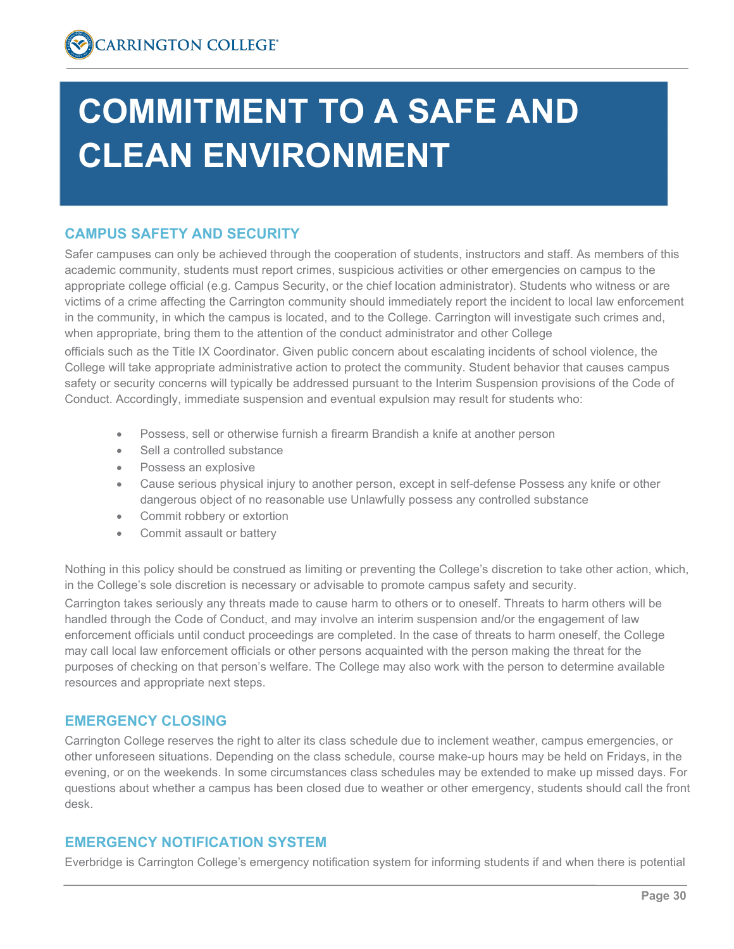# **COMMITMENT TO A SAFE AND CLEAN ENVIRONMENT**

# **CAMPUS SAFETY AND SECURITY**

Safer campuses can only be achieved through the cooperation of students, instructors and staff. As members of this academic community, students must report crimes, suspicious activities or other emergencies on campus to the appropriate college official (e.g. Campus Security, or the chief location administrator). Students who witness or are victims of a crime affecting the Carrington community should immediately report the incident to local law enforcement in the community, in which the campus is located, and to the College. Carrington will investigate such crimes and, when appropriate, bring them to the attention of the conduct administrator and other College

officials such as the Title IX Coordinator. Given public concern about escalating incidents of school violence, the College will take appropriate administrative action to protect the community. Student behavior that causes campus safety or security concerns will typically be addressed pursuant to the Interim Suspension provisions of the Code of Conduct. Accordingly, immediate suspension and eventual expulsion may result for students who:

- Possess, sell or otherwise furnish a firearm Brandish a knife at another person
- Sell a controlled substance
- Possess an explosive
- Cause serious physical injury to another person, except in self-defense Possess any knife or other dangerous object of no reasonable use Unlawfully possess any controlled substance
- Commit robbery or extortion
- Commit assault or battery

Nothing in this policy should be construed as limiting or preventing the College's discretion to take other action, which, in the College's sole discretion is necessary or advisable to promote campus safety and security.

Carrington takes seriously any threats made to cause harm to others or to oneself. Threats to harm others will be handled through the Code of Conduct, and may involve an interim suspension and/or the engagement of law enforcement officials until conduct proceedings are completed. In the case of threats to harm oneself, the College may call local law enforcement officials or other persons acquainted with the person making the threat for the purposes of checking on that person's welfare. The College may also work with the person to determine available resources and appropriate next steps.

# **EMERGENCY CLOSING**

Carrington College reserves the right to alter its class schedule due to inclement weather, campus emergencies, or other unforeseen situations. Depending on the class schedule, course make-up hours may be held on Fridays, in the evening, or on the weekends. In some circumstances class schedules may be extended to make up missed days. For questions about whether a campus has been closed due to weather or other emergency, students should call the front desk.

# **EMERGENCY NOTIFICATION SYSTEM**

Everbridge is Carrington College's emergency notification system for informing students if and when there is potential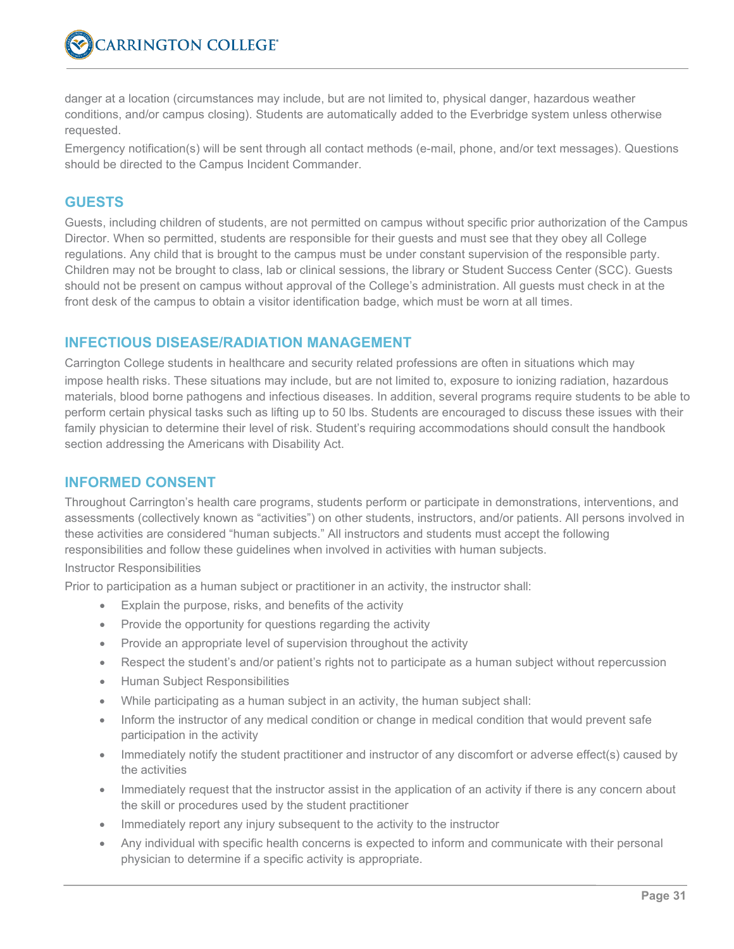danger at a location (circumstances may include, but are not limited to, physical danger, hazardous weather conditions, and/or campus closing). Students are automatically added to the Everbridge system unless otherwise requested.

Emergency notification(s) will be sent through all contact methods (e-mail, phone, and/or text messages). Questions should be directed to the Campus Incident Commander.

#### **GUESTS**

Guests, including children of students, are not permitted on campus without specific prior authorization of the Campus Director. When so permitted, students are responsible for their guests and must see that they obey all College regulations. Any child that is brought to the campus must be under constant supervision of the responsible party. Children may not be brought to class, lab or clinical sessions, the library or Student Success Center (SCC). Guests should not be present on campus without approval of the College's administration. All guests must check in at the front desk of the campus to obtain a visitor identification badge, which must be worn at all times.

# **INFECTIOUS DISEASE/RADIATION MANAGEMENT**

Carrington College students in healthcare and security related professions are often in situations which may impose health risks. These situations may include, but are not limited to, exposure to ionizing radiation, hazardous materials, blood borne pathogens and infectious diseases. In addition, several programs require students to be able to perform certain physical tasks such as lifting up to 50 lbs. Students are encouraged to discuss these issues with their family physician to determine their level of risk. Student's requiring accommodations should consult the handbook section addressing the Americans with Disability Act.

# **INFORMED CONSENT**

Throughout Carrington's health care programs, students perform or participate in demonstrations, interventions, and assessments (collectively known as "activities") on other students, instructors, and/or patients. All persons involved in these activities are considered "human subjects." All instructors and students must accept the following responsibilities and follow these guidelines when involved in activities with human subjects.

#### Instructor Responsibilities

Prior to participation as a human subject or practitioner in an activity, the instructor shall:

- Explain the purpose, risks, and benefits of the activity
- Provide the opportunity for questions regarding the activity
- Provide an appropriate level of supervision throughout the activity
- Respect the student's and/or patient's rights not to participate as a human subject without repercussion
- Human Subject Responsibilities
- While participating as a human subject in an activity, the human subject shall:
- Inform the instructor of any medical condition or change in medical condition that would prevent safe participation in the activity
- Immediately notify the student practitioner and instructor of any discomfort or adverse effect(s) caused by the activities
- Immediately request that the instructor assist in the application of an activity if there is any concern about the skill or procedures used by the student practitioner
- Immediately report any injury subsequent to the activity to the instructor
- Any individual with specific health concerns is expected to inform and communicate with their personal physician to determine if a specific activity is appropriate.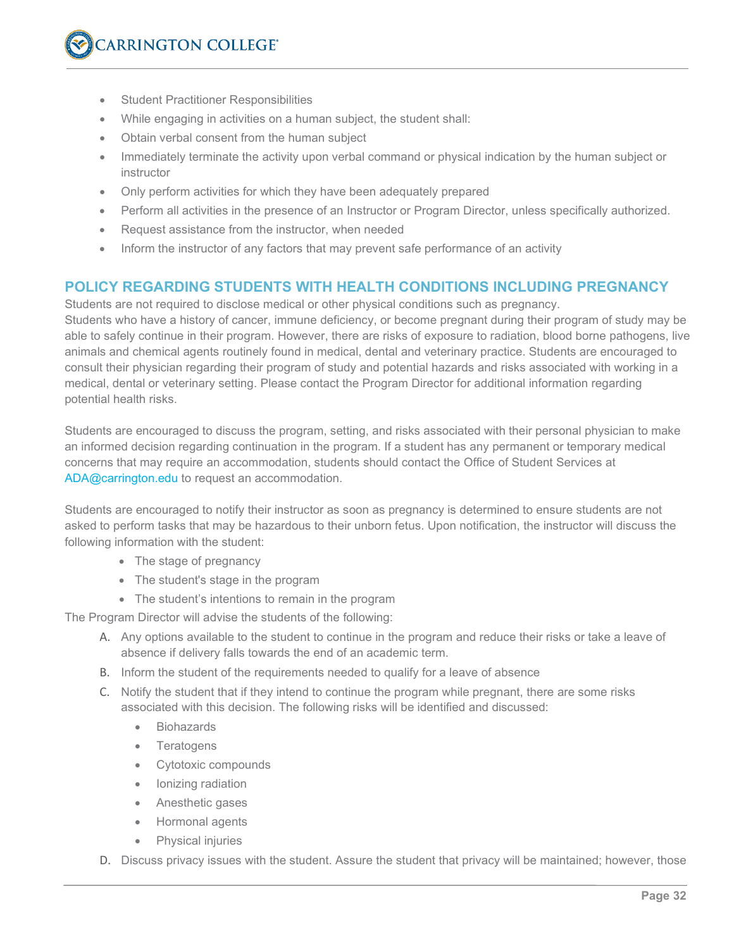- Student Practitioner Responsibilities
- While engaging in activities on a human subject, the student shall:
- Obtain verbal consent from the human subject
- Immediately terminate the activity upon verbal command or physical indication by the human subject or instructor
- Only perform activities for which they have been adequately prepared
- Perform all activities in the presence of an Instructor or Program Director, unless specifically authorized.
- Request assistance from the instructor, when needed
- Inform the instructor of any factors that may prevent safe performance of an activity

#### **POLICY REGARDING STUDENTS WITH HEALTH CONDITIONS INCLUDING PREGNANCY**

Students are not required to disclose medical or other physical conditions such as pregnancy. Students who have a history of cancer, immune deficiency, or become pregnant during their program of study may be able to safely continue in their program. However, there are risks of exposure to radiation, blood borne pathogens, live animals and chemical agents routinely found in medical, dental and veterinary practice. Students are encouraged to consult their physician regarding their program of study and potential hazards and risks associated with working in a medical, dental or veterinary setting. Please contact the Program Director for additional information regarding potential health risks.

Students are encouraged to discuss the program, setting, and risks associated with their personal physician to make an informed decision regarding continuation in the program. If a student has any permanent or temporary medical concerns that may require an accommodation, students should contact the Office of Student Services at ADA@carrington.edu to request an accommodation.

Students are encouraged to notify their instructor as soon as pregnancy is determined to ensure students are not asked to perform tasks that may be hazardous to their unborn fetus. Upon notification, the instructor will discuss the following information with the student:

- The stage of pregnancy
- The student's stage in the program
- The student's intentions to remain in the program

The Program Director will advise the students of the following:

- A. Any options available to the student to continue in the program and reduce their risks or take a leave of absence if delivery falls towards the end of an academic term.
- B. Inform the student of the requirements needed to qualify for a leave of absence
- C. Notify the student that if they intend to continue the program while pregnant, there are some risks associated with this decision. The following risks will be identified and discussed:
	- **Biohazards**
	- **Teratogens**
	- Cytotoxic compounds
	- Ionizing radiation
	- Anesthetic gases
	- Hormonal agents
	- Physical injuries
- D. Discuss privacy issues with the student. Assure the student that privacy will be maintained; however, those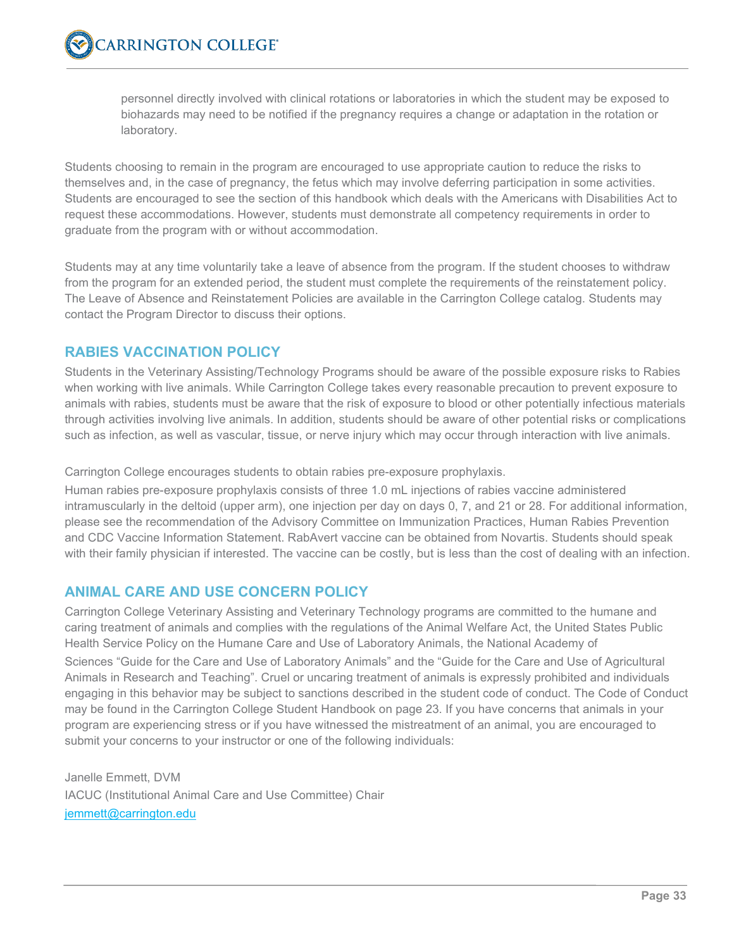personnel directly involved with clinical rotations or laboratories in which the student may be exposed to biohazards may need to be notified if the pregnancy requires a change or adaptation in the rotation or laboratory.

Students choosing to remain in the program are encouraged to use appropriate caution to reduce the risks to themselves and, in the case of pregnancy, the fetus which may involve deferring participation in some activities. Students are encouraged to see the section of this handbook which deals with the Americans with Disabilities Act to request these accommodations. However, students must demonstrate all competency requirements in order to graduate from the program with or without accommodation.

Students may at any time voluntarily take a leave of absence from the program. If the student chooses to withdraw from the program for an extended period, the student must complete the requirements of the reinstatement policy. The Leave of Absence and Reinstatement Policies are available in the Carrington College catalog. Students may contact the Program Director to discuss their options.

# **RABIES VACCINATION POLICY**

Students in the Veterinary Assisting/Technology Programs should be aware of the possible exposure risks to Rabies when working with live animals. While Carrington College takes every reasonable precaution to prevent exposure to animals with rabies, students must be aware that the risk of exposure to blood or other potentially infectious materials through activities involving live animals. In addition, students should be aware of other potential risks or complications such as infection, as well as vascular, tissue, or nerve injury which may occur through interaction with live animals.

Carrington College encourages students to obtain rabies pre-exposure prophylaxis.

Human rabies pre-exposure prophylaxis consists of three 1.0 mL injections of rabies vaccine administered intramuscularly in the deltoid (upper arm), one injection per day on days 0, 7, and 21 or 28. For additional information, please see the recommendation of the Advisory Committee on Immunization Practices, Human Rabies Prevention and CDC Vaccine Information Statement. RabAvert vaccine can be obtained from Novartis. Students should speak with their family physician if interested. The vaccine can be costly, but is less than the cost of dealing with an infection.

# **ANIMAL CARE AND USE CONCERN POLICY**

Carrington College Veterinary Assisting and Veterinary Technology programs are committed to the humane and caring treatment of animals and complies with the regulations of the Animal Welfare Act, the United States Public Health Service Policy on the Humane Care and Use of Laboratory Animals, the National Academy of

Sciences "Guide for the Care and Use of Laboratory Animals" and the "Guide for the Care and Use of Agricultural Animals in Research and Teaching". Cruel or uncaring treatment of animals is expressly prohibited and individuals engaging in this behavior may be subject to sanctions described in the student code of conduct. The Code of Conduct may be found in the Carrington College Student Handbook on page 23. If you have concerns that animals in your program are experiencing stress or if you have witnessed the mistreatment of an animal, you are encouraged to submit your concerns to your instructor or one of the following individuals:

Janelle Emmett, DVM IACUC (Institutional Animal Care and Use Committee) Chair jemmett@carrington.edu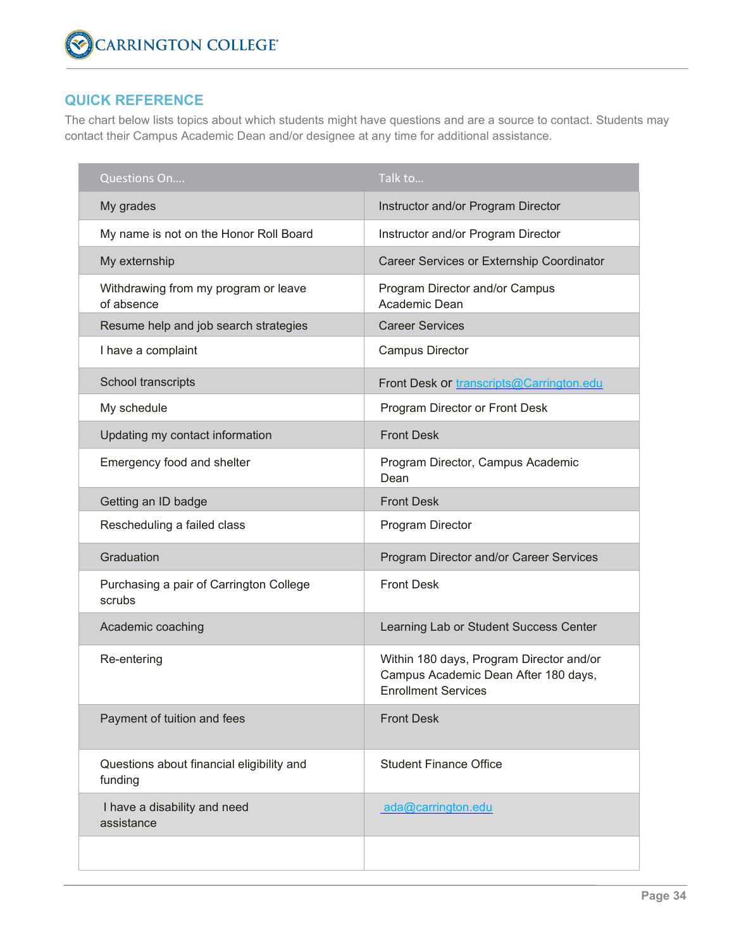# **QUICK REFERENCE**

The chart below lists topics about which students might have questions and are a source to contact. Students may contact their Campus Academic Dean and/or designee at any time for additional assistance.

| Questions On                                         | Talk to                                                                                                        |
|------------------------------------------------------|----------------------------------------------------------------------------------------------------------------|
| My grades                                            | Instructor and/or Program Director                                                                             |
| My name is not on the Honor Roll Board               | Instructor and/or Program Director                                                                             |
| My externship                                        | Career Services or Externship Coordinator                                                                      |
| Withdrawing from my program or leave<br>of absence   | Program Director and/or Campus<br>Academic Dean                                                                |
| Resume help and job search strategies                | <b>Career Services</b>                                                                                         |
| I have a complaint                                   | <b>Campus Director</b>                                                                                         |
| School transcripts                                   | Front Desk or transcripts@Carrington.edu                                                                       |
| My schedule                                          | Program Director or Front Desk                                                                                 |
| Updating my contact information                      | <b>Front Desk</b>                                                                                              |
| Emergency food and shelter                           | Program Director, Campus Academic<br>Dean                                                                      |
| Getting an ID badge                                  | <b>Front Desk</b>                                                                                              |
| Rescheduling a failed class                          | Program Director                                                                                               |
| Graduation                                           | Program Director and/or Career Services                                                                        |
| Purchasing a pair of Carrington College<br>scrubs    | <b>Front Desk</b>                                                                                              |
| Academic coaching                                    | Learning Lab or Student Success Center                                                                         |
| Re-entering                                          | Within 180 days, Program Director and/or<br>Campus Academic Dean After 180 days,<br><b>Enrollment Services</b> |
| Payment of tuition and fees                          | <b>Front Desk</b>                                                                                              |
| Questions about financial eligibility and<br>funding | <b>Student Finance Office</b>                                                                                  |
| I have a disability and need<br>assistance           | ada@carrington.edu                                                                                             |
|                                                      |                                                                                                                |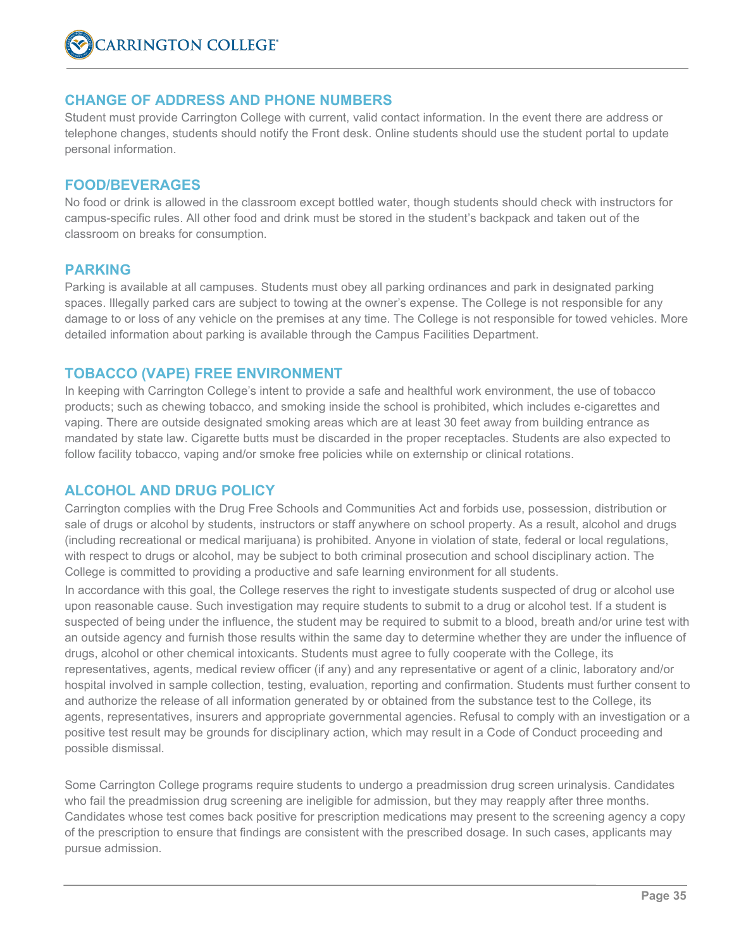

#### **CHANGE OF ADDRESS AND PHONE NUMBERS**

Student must provide Carrington College with current, valid contact information. In the event there are address or telephone changes, students should notify the Front desk. Online students should use the student portal to update personal information.

#### **FOOD/BEVERAGES**

No food or drink is allowed in the classroom except bottled water, though students should check with instructors for campus-specific rules. All other food and drink must be stored in the student's backpack and taken out of the classroom on breaks for consumption.

#### **PARKING**

Parking is available at all campuses. Students must obey all parking ordinances and park in designated parking spaces. Illegally parked cars are subject to towing at the owner's expense. The College is not responsible for any damage to or loss of any vehicle on the premises at any time. The College is not responsible for towed vehicles. More detailed information about parking is available through the Campus Facilities Department.

#### **TOBACCO (VAPE) FREE ENVIRONMENT**

In keeping with Carrington College's intent to provide a safe and healthful work environment, the use of tobacco products; such as chewing tobacco, and smoking inside the school is prohibited, which includes e-cigarettes and vaping. There are outside designated smoking areas which are at least 30 feet away from building entrance as mandated by state law. Cigarette butts must be discarded in the proper receptacles. Students are also expected to follow facility tobacco, vaping and/or smoke free policies while on externship or clinical rotations.

#### **ALCOHOL AND DRUG POLICY**

Carrington complies with the Drug Free Schools and Communities Act and forbids use, possession, distribution or sale of drugs or alcohol by students, instructors or staff anywhere on school property. As a result, alcohol and drugs (including recreational or medical marijuana) is prohibited. Anyone in violation of state, federal or local regulations, with respect to drugs or alcohol, may be subject to both criminal prosecution and school disciplinary action. The College is committed to providing a productive and safe learning environment for all students.

In accordance with this goal, the College reserves the right to investigate students suspected of drug or alcohol use upon reasonable cause. Such investigation may require students to submit to a drug or alcohol test. If a student is suspected of being under the influence, the student may be required to submit to a blood, breath and/or urine test with an outside agency and furnish those results within the same day to determine whether they are under the influence of drugs, alcohol or other chemical intoxicants. Students must agree to fully cooperate with the College, its representatives, agents, medical review officer (if any) and any representative or agent of a clinic, laboratory and/or hospital involved in sample collection, testing, evaluation, reporting and confirmation. Students must further consent to and authorize the release of all information generated by or obtained from the substance test to the College, its agents, representatives, insurers and appropriate governmental agencies. Refusal to comply with an investigation or a positive test result may be grounds for disciplinary action, which may result in a Code of Conduct proceeding and possible dismissal.

Some Carrington College programs require students to undergo a preadmission drug screen urinalysis. Candidates who fail the preadmission drug screening are ineligible for admission, but they may reapply after three months. Candidates whose test comes back positive for prescription medications may present to the screening agency a copy of the prescription to ensure that findings are consistent with the prescribed dosage. In such cases, applicants may pursue admission.